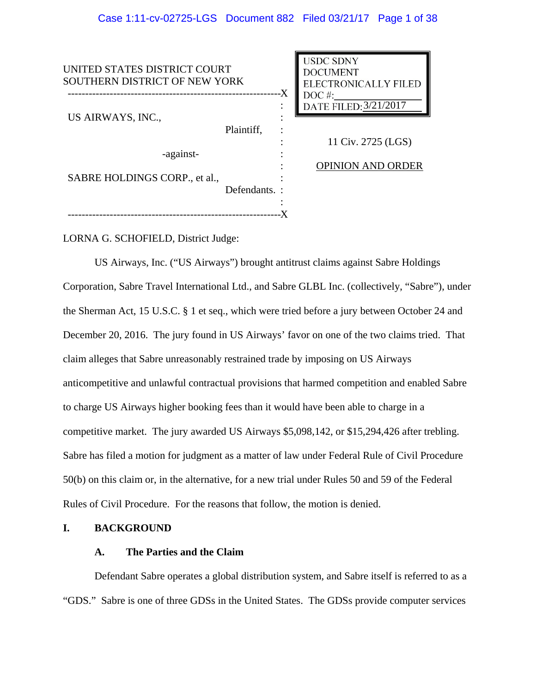| UNITED STATES DISTRICT COURT<br>SOUTHERN DISTRICT OF NEW YORK<br>-X |               | <b>USDC SDNY</b><br><b>DOCUMENT</b><br><b>ELECTRONICALLY FILED</b><br>$DOC$ #: |                          |
|---------------------------------------------------------------------|---------------|--------------------------------------------------------------------------------|--------------------------|
| US AIRWAYS, INC.,                                                   |               |                                                                                | DATE FILED: 3/21/2017    |
|                                                                     | Plaintiff,    |                                                                                | 11 Civ. 2725 (LGS)       |
| -against-                                                           |               |                                                                                |                          |
| SABRE HOLDINGS CORP., et al.,                                       |               |                                                                                | <b>OPINION AND ORDER</b> |
|                                                                     |               |                                                                                |                          |
|                                                                     | Defendants. : |                                                                                |                          |
|                                                                     |               |                                                                                |                          |
|                                                                     |               |                                                                                |                          |

LORNA G. SCHOFIELD, District Judge:

US Airways, Inc. ("US Airways") brought antitrust claims against Sabre Holdings Corporation, Sabre Travel International Ltd., and Sabre GLBL Inc. (collectively, "Sabre"), under the Sherman Act, 15 U.S.C. § 1 et seq., which were tried before a jury between October 24 and December 20, 2016. The jury found in US Airways' favor on one of the two claims tried. That claim alleges that Sabre unreasonably restrained trade by imposing on US Airways anticompetitive and unlawful contractual provisions that harmed competition and enabled Sabre to charge US Airways higher booking fees than it would have been able to charge in a competitive market. The jury awarded US Airways \$5,098,142, or \$15,294,426 after trebling. Sabre has filed a motion for judgment as a matter of law under Federal Rule of Civil Procedure 50(b) on this claim or, in the alternative, for a new trial under Rules 50 and 59 of the Federal Rules of Civil Procedure. For the reasons that follow, the motion is denied.

# **I. BACKGROUND**

# **A. The Parties and the Claim**

Defendant Sabre operates a global distribution system, and Sabre itself is referred to as a "GDS." Sabre is one of three GDSs in the United States. The GDSs provide computer services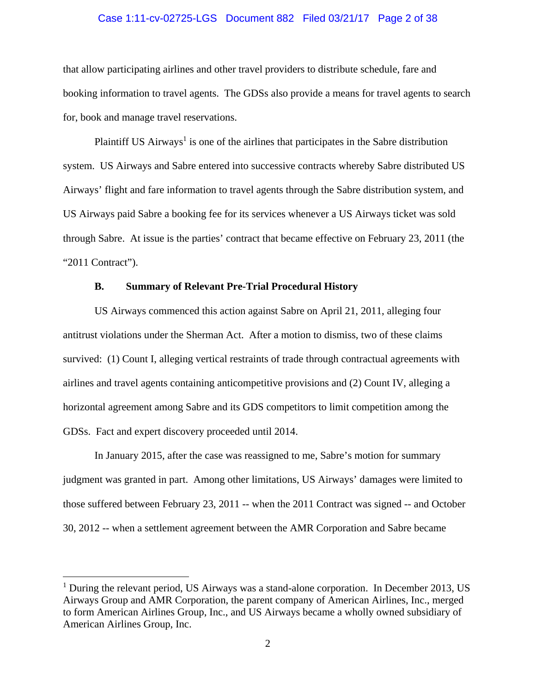### Case 1:11-cv-02725-LGS Document 882 Filed 03/21/17 Page 2 of 38

that allow participating airlines and other travel providers to distribute schedule, fare and booking information to travel agents. The GDSs also provide a means for travel agents to search for, book and manage travel reservations.

Plaintiff US  $Airways<sup>1</sup>$  is one of the airlines that participates in the Sabre distribution system. US Airways and Sabre entered into successive contracts whereby Sabre distributed US Airways' flight and fare information to travel agents through the Sabre distribution system, and US Airways paid Sabre a booking fee for its services whenever a US Airways ticket was sold through Sabre. At issue is the parties' contract that became effective on February 23, 2011 (the "2011 Contract").

### **B. Summary of Relevant Pre-Trial Procedural History**

US Airways commenced this action against Sabre on April 21, 2011, alleging four antitrust violations under the Sherman Act. After a motion to dismiss, two of these claims survived: (1) Count I, alleging vertical restraints of trade through contractual agreements with airlines and travel agents containing anticompetitive provisions and (2) Count IV, alleging a horizontal agreement among Sabre and its GDS competitors to limit competition among the GDSs. Fact and expert discovery proceeded until 2014.

In January 2015, after the case was reassigned to me, Sabre's motion for summary judgment was granted in part. Among other limitations, US Airways' damages were limited to those suffered between February 23, 2011 -- when the 2011 Contract was signed -- and October 30, 2012 -- when a settlement agreement between the AMR Corporation and Sabre became

 $\overline{a}$ 

<sup>&</sup>lt;sup>1</sup> During the relevant period, US Airways was a stand-alone corporation. In December 2013, US Airways Group and AMR Corporation, the parent company of American Airlines, Inc., merged to form American Airlines Group, Inc., and US Airways became a wholly owned subsidiary of American Airlines Group, Inc.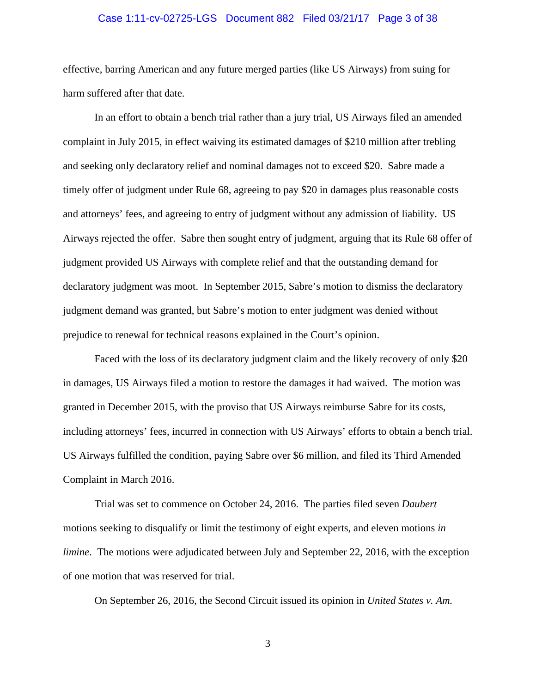### Case 1:11-cv-02725-LGS Document 882 Filed 03/21/17 Page 3 of 38

effective, barring American and any future merged parties (like US Airways) from suing for harm suffered after that date.

In an effort to obtain a bench trial rather than a jury trial, US Airways filed an amended complaint in July 2015, in effect waiving its estimated damages of \$210 million after trebling and seeking only declaratory relief and nominal damages not to exceed \$20. Sabre made a timely offer of judgment under Rule 68, agreeing to pay \$20 in damages plus reasonable costs and attorneys' fees, and agreeing to entry of judgment without any admission of liability. US Airways rejected the offer. Sabre then sought entry of judgment, arguing that its Rule 68 offer of judgment provided US Airways with complete relief and that the outstanding demand for declaratory judgment was moot. In September 2015, Sabre's motion to dismiss the declaratory judgment demand was granted, but Sabre's motion to enter judgment was denied without prejudice to renewal for technical reasons explained in the Court's opinion.

Faced with the loss of its declaratory judgment claim and the likely recovery of only \$20 in damages, US Airways filed a motion to restore the damages it had waived. The motion was granted in December 2015, with the proviso that US Airways reimburse Sabre for its costs, including attorneys' fees, incurred in connection with US Airways' efforts to obtain a bench trial. US Airways fulfilled the condition, paying Sabre over \$6 million, and filed its Third Amended Complaint in March 2016.

Trial was set to commence on October 24, 2016. The parties filed seven *Daubert* motions seeking to disqualify or limit the testimony of eight experts, and eleven motions *in limine*. The motions were adjudicated between July and September 22, 2016, with the exception of one motion that was reserved for trial.

On September 26, 2016, the Second Circuit issued its opinion in *United States v. Am.*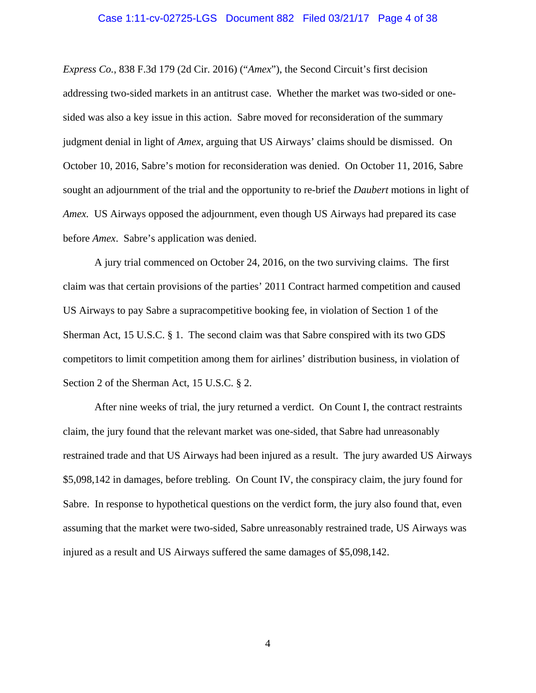### Case 1:11-cv-02725-LGS Document 882 Filed 03/21/17 Page 4 of 38

*Express Co.*, 838 F.3d 179 (2d Cir. 2016) ("*Amex*"), the Second Circuit's first decision addressing two-sided markets in an antitrust case. Whether the market was two-sided or onesided was also a key issue in this action. Sabre moved for reconsideration of the summary judgment denial in light of *Amex*, arguing that US Airways' claims should be dismissed. On October 10, 2016, Sabre's motion for reconsideration was denied. On October 11, 2016, Sabre sought an adjournment of the trial and the opportunity to re-brief the *Daubert* motions in light of *Amex.* US Airways opposed the adjournment, even though US Airways had prepared its case before *Amex*. Sabre's application was denied.

A jury trial commenced on October 24, 2016, on the two surviving claims. The first claim was that certain provisions of the parties' 2011 Contract harmed competition and caused US Airways to pay Sabre a supracompetitive booking fee, in violation of Section 1 of the Sherman Act, 15 U.S.C. § 1. The second claim was that Sabre conspired with its two GDS competitors to limit competition among them for airlines' distribution business, in violation of Section 2 of the Sherman Act, 15 U.S.C. § 2.

After nine weeks of trial, the jury returned a verdict. On Count I, the contract restraints claim, the jury found that the relevant market was one-sided, that Sabre had unreasonably restrained trade and that US Airways had been injured as a result. The jury awarded US Airways \$5,098,142 in damages, before trebling. On Count IV, the conspiracy claim, the jury found for Sabre. In response to hypothetical questions on the verdict form, the jury also found that, even assuming that the market were two-sided, Sabre unreasonably restrained trade, US Airways was injured as a result and US Airways suffered the same damages of \$5,098,142.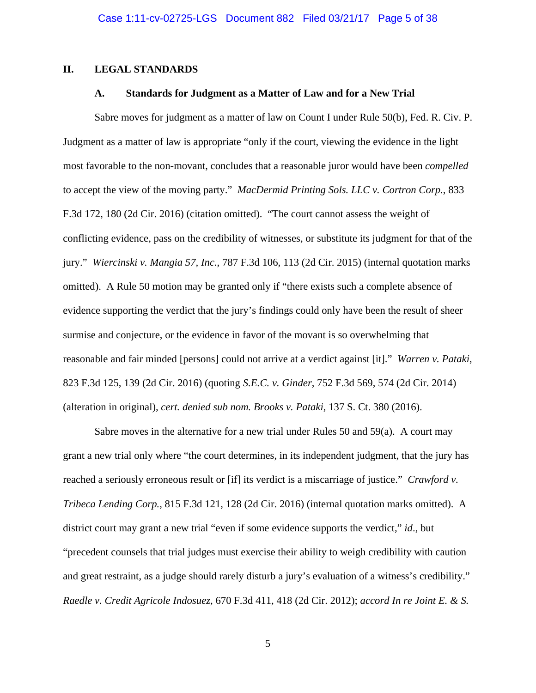### **II. LEGAL STANDARDS**

### **A. Standards for Judgment as a Matter of Law and for a New Trial**

Sabre moves for judgment as a matter of law on Count I under Rule 50(b), Fed. R. Civ. P. Judgment as a matter of law is appropriate "only if the court, viewing the evidence in the light most favorable to the non-movant, concludes that a reasonable juror would have been *compelled* to accept the view of the moving party." *MacDermid Printing Sols. LLC v. Cortron Corp.*, 833 F.3d 172, 180 (2d Cir. 2016) (citation omitted). "The court cannot assess the weight of conflicting evidence, pass on the credibility of witnesses, or substitute its judgment for that of the jury." *Wiercinski v. Mangia 57, Inc.*, 787 F.3d 106, 113 (2d Cir. 2015) (internal quotation marks omitted). A Rule 50 motion may be granted only if "there exists such a complete absence of evidence supporting the verdict that the jury's findings could only have been the result of sheer surmise and conjecture, or the evidence in favor of the movant is so overwhelming that reasonable and fair minded [persons] could not arrive at a verdict against [it]." *Warren v. Pataki*, 823 F.3d 125, 139 (2d Cir. 2016) (quoting *S.E.C. v. Ginder*, 752 F.3d 569, 574 (2d Cir. 2014) (alteration in original), *cert. denied sub nom. Brooks v. Pataki*, 137 S. Ct. 380 (2016).

Sabre moves in the alternative for a new trial under Rules 50 and 59(a). A court may grant a new trial only where "the court determines, in its independent judgment, that the jury has reached a seriously erroneous result or [if] its verdict is a miscarriage of justice." *Crawford v. Tribeca Lending Corp.*, 815 F.3d 121, 128 (2d Cir. 2016) (internal quotation marks omitted). A district court may grant a new trial "even if some evidence supports the verdict," *id*., but "precedent counsels that trial judges must exercise their ability to weigh credibility with caution and great restraint, as a judge should rarely disturb a jury's evaluation of a witness's credibility." *Raedle v. Credit Agricole Indosuez*, 670 F.3d 411, 418 (2d Cir. 2012); *accord In re Joint E. & S.*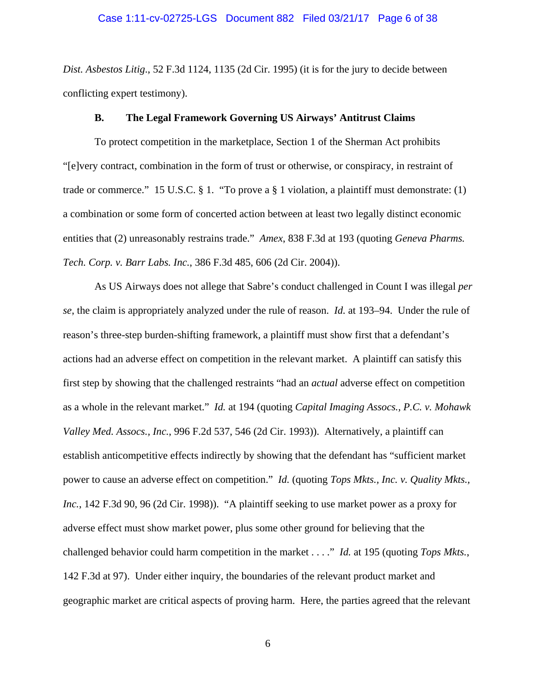*Dist. Asbestos Litig*., 52 F.3d 1124, 1135 (2d Cir. 1995) (it is for the jury to decide between conflicting expert testimony).

#### **B. The Legal Framework Governing US Airways' Antitrust Claims**

To protect competition in the marketplace, Section 1 of the Sherman Act prohibits "[e]very contract, combination in the form of trust or otherwise, or conspiracy, in restraint of trade or commerce." 15 U.S.C. § 1. "To prove a § 1 violation, a plaintiff must demonstrate: (1) a combination or some form of concerted action between at least two legally distinct economic entities that (2) unreasonably restrains trade." *Amex*, 838 F.3d at 193 (quoting *Geneva Pharms. Tech. Corp. v. Barr Labs. Inc.*, 386 F.3d 485, 606 (2d Cir. 2004)).

As US Airways does not allege that Sabre's conduct challenged in Count I was illegal *per se*, the claim is appropriately analyzed under the rule of reason. *Id.* at 193–94. Under the rule of reason's three-step burden-shifting framework, a plaintiff must show first that a defendant's actions had an adverse effect on competition in the relevant market. A plaintiff can satisfy this first step by showing that the challenged restraints "had an *actual* adverse effect on competition as a whole in the relevant market." *Id.* at 194 (quoting *Capital Imaging Assocs., P.C. v. Mohawk Valley Med. Assocs., Inc.*, 996 F.2d 537, 546 (2d Cir. 1993)). Alternatively, a plaintiff can establish anticompetitive effects indirectly by showing that the defendant has "sufficient market power to cause an adverse effect on competition." *Id.* (quoting *Tops Mkts., Inc. v. Quality Mkts., Inc.*, 142 F.3d 90, 96 (2d Cir. 1998)). "A plaintiff seeking to use market power as a proxy for adverse effect must show market power, plus some other ground for believing that the challenged behavior could harm competition in the market . . . ." *Id.* at 195 (quoting *Tops Mkts.*, 142 F.3d at 97). Under either inquiry, the boundaries of the relevant product market and geographic market are critical aspects of proving harm. Here, the parties agreed that the relevant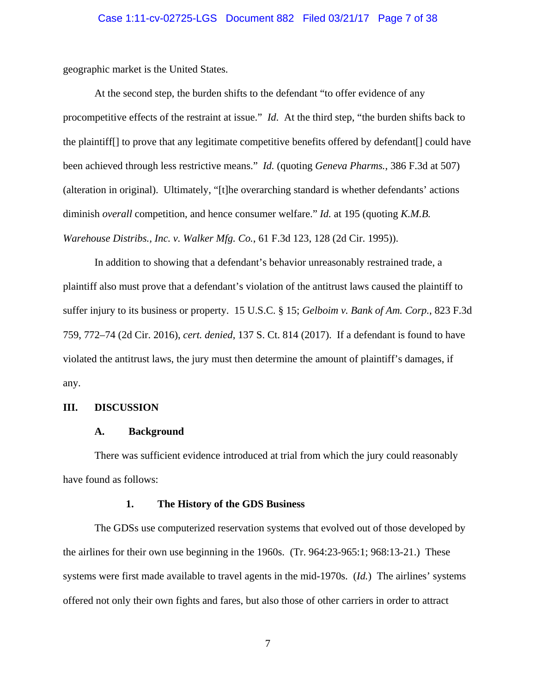### Case 1:11-cv-02725-LGS Document 882 Filed 03/21/17 Page 7 of 38

geographic market is the United States.

At the second step, the burden shifts to the defendant "to offer evidence of any procompetitive effects of the restraint at issue." *Id*. At the third step, "the burden shifts back to the plaintiff[] to prove that any legitimate competitive benefits offered by defendant[] could have been achieved through less restrictive means." *Id.* (quoting *Geneva Pharms.*, 386 F.3d at 507) (alteration in original). Ultimately, "[t]he overarching standard is whether defendants' actions diminish *overall* competition, and hence consumer welfare." *Id.* at 195 (quoting *K.M.B. Warehouse Distribs., Inc. v. Walker Mfg. Co.*, 61 F.3d 123, 128 (2d Cir. 1995)).

In addition to showing that a defendant's behavior unreasonably restrained trade, a plaintiff also must prove that a defendant's violation of the antitrust laws caused the plaintiff to suffer injury to its business or property. 15 U.S.C. § 15; *Gelboim v. Bank of Am. Corp.*, 823 F.3d 759, 772–74 (2d Cir. 2016), *cert. denied*, 137 S. Ct. 814 (2017). If a defendant is found to have violated the antitrust laws, the jury must then determine the amount of plaintiff's damages, if any.

### **III. DISCUSSION**

#### **A. Background**

There was sufficient evidence introduced at trial from which the jury could reasonably have found as follows:

#### **1. The History of the GDS Business**

The GDSs use computerized reservation systems that evolved out of those developed by the airlines for their own use beginning in the 1960s. (Tr. 964:23-965:1; 968:13-21.) These systems were first made available to travel agents in the mid-1970s. (*Id.*) The airlines' systems offered not only their own fights and fares, but also those of other carriers in order to attract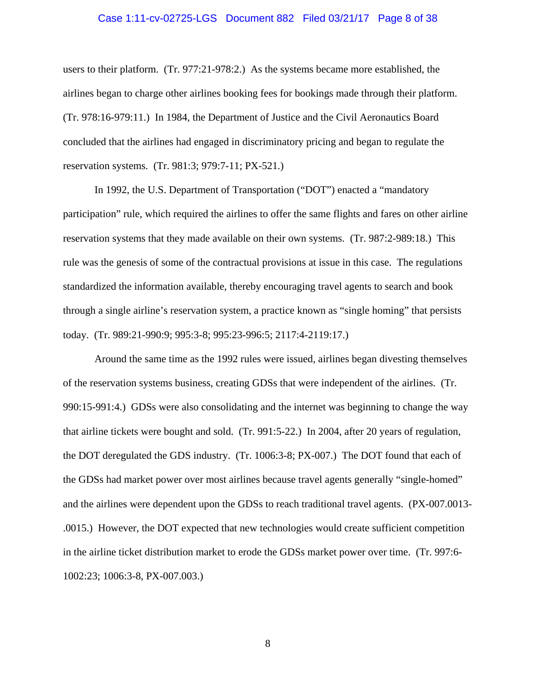### Case 1:11-cv-02725-LGS Document 882 Filed 03/21/17 Page 8 of 38

users to their platform. (Tr. 977:21-978:2.) As the systems became more established, the airlines began to charge other airlines booking fees for bookings made through their platform. (Tr. 978:16-979:11.) In 1984, the Department of Justice and the Civil Aeronautics Board concluded that the airlines had engaged in discriminatory pricing and began to regulate the reservation systems. (Tr. 981:3; 979:7-11; PX-521.)

 In 1992, the U.S. Department of Transportation ("DOT") enacted a "mandatory participation" rule, which required the airlines to offer the same flights and fares on other airline reservation systems that they made available on their own systems. (Tr. 987:2-989:18.) This rule was the genesis of some of the contractual provisions at issue in this case. The regulations standardized the information available, thereby encouraging travel agents to search and book through a single airline's reservation system, a practice known as "single homing" that persists today. (Tr. 989:21-990:9; 995:3-8; 995:23-996:5; 2117:4-2119:17.)

 Around the same time as the 1992 rules were issued, airlines began divesting themselves of the reservation systems business, creating GDSs that were independent of the airlines. (Tr. 990:15-991:4.) GDSs were also consolidating and the internet was beginning to change the way that airline tickets were bought and sold. (Tr. 991:5-22.) In 2004, after 20 years of regulation, the DOT deregulated the GDS industry. (Tr. 1006:3-8; PX-007.) The DOT found that each of the GDSs had market power over most airlines because travel agents generally "single-homed" and the airlines were dependent upon the GDSs to reach traditional travel agents. (PX-007.0013- .0015.) However, the DOT expected that new technologies would create sufficient competition in the airline ticket distribution market to erode the GDSs market power over time. (Tr. 997:6- 1002:23; 1006:3-8, PX-007.003.)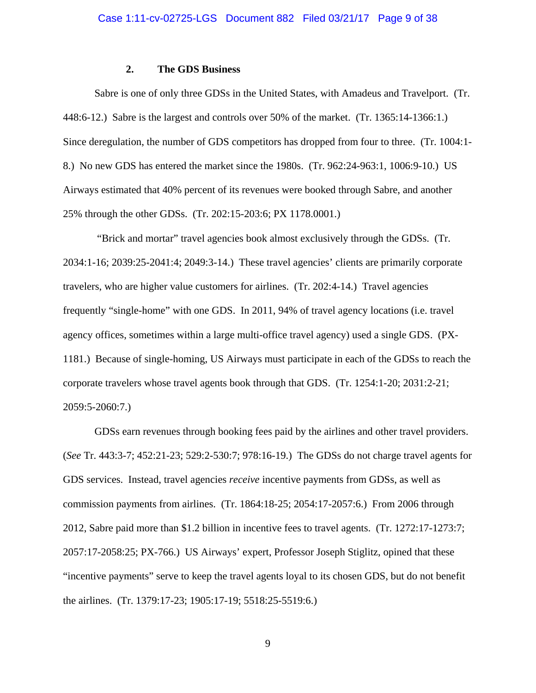### **2. The GDS Business**

Sabre is one of only three GDSs in the United States, with Amadeus and Travelport. (Tr. 448:6-12.) Sabre is the largest and controls over 50% of the market. (Tr. 1365:14-1366:1.) Since deregulation, the number of GDS competitors has dropped from four to three. (Tr. 1004:1- 8.) No new GDS has entered the market since the 1980s. (Tr. 962:24-963:1, 1006:9-10.) US Airways estimated that 40% percent of its revenues were booked through Sabre, and another 25% through the other GDSs. (Tr. 202:15-203:6; PX 1178.0001.)

 "Brick and mortar" travel agencies book almost exclusively through the GDSs. (Tr. 2034:1-16; 2039:25-2041:4; 2049:3-14.) These travel agencies' clients are primarily corporate travelers, who are higher value customers for airlines. (Tr. 202:4-14.) Travel agencies frequently "single-home" with one GDS. In 2011, 94% of travel agency locations (i.e. travel agency offices, sometimes within a large multi-office travel agency) used a single GDS. (PX-1181.) Because of single-homing, US Airways must participate in each of the GDSs to reach the corporate travelers whose travel agents book through that GDS. (Tr. 1254:1-20; 2031:2-21; 2059:5-2060:7.)

GDSs earn revenues through booking fees paid by the airlines and other travel providers. (*See* Tr. 443:3-7; 452:21-23; 529:2-530:7; 978:16-19.) The GDSs do not charge travel agents for GDS services. Instead, travel agencies *receive* incentive payments from GDSs, as well as commission payments from airlines. (Tr. 1864:18-25; 2054:17-2057:6.) From 2006 through 2012, Sabre paid more than \$1.2 billion in incentive fees to travel agents. (Tr. 1272:17-1273:7; 2057:17-2058:25; PX-766.) US Airways' expert, Professor Joseph Stiglitz, opined that these "incentive payments" serve to keep the travel agents loyal to its chosen GDS, but do not benefit the airlines. (Tr. 1379:17-23; 1905:17-19; 5518:25-5519:6.)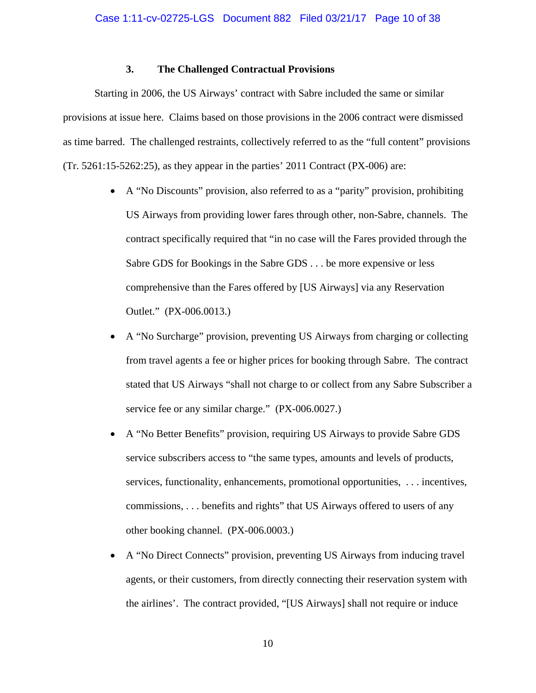# **3. The Challenged Contractual Provisions**

Starting in 2006, the US Airways' contract with Sabre included the same or similar provisions at issue here. Claims based on those provisions in the 2006 contract were dismissed as time barred. The challenged restraints, collectively referred to as the "full content" provisions (Tr. 5261:15-5262:25), as they appear in the parties' 2011 Contract (PX-006) are:

- A "No Discounts" provision, also referred to as a "parity" provision, prohibiting US Airways from providing lower fares through other, non-Sabre, channels. The contract specifically required that "in no case will the Fares provided through the Sabre GDS for Bookings in the Sabre GDS . . . be more expensive or less comprehensive than the Fares offered by [US Airways] via any Reservation Outlet." (PX-006.0013.)
- A "No Surcharge" provision, preventing US Airways from charging or collecting from travel agents a fee or higher prices for booking through Sabre. The contract stated that US Airways "shall not charge to or collect from any Sabre Subscriber a service fee or any similar charge." (PX-006.0027.)
- A "No Better Benefits" provision, requiring US Airways to provide Sabre GDS service subscribers access to "the same types, amounts and levels of products, services, functionality, enhancements, promotional opportunities, . . . incentives, commissions, . . . benefits and rights" that US Airways offered to users of any other booking channel. (PX-006.0003.)
- A "No Direct Connects" provision, preventing US Airways from inducing travel agents, or their customers, from directly connecting their reservation system with the airlines'. The contract provided, "[US Airways] shall not require or induce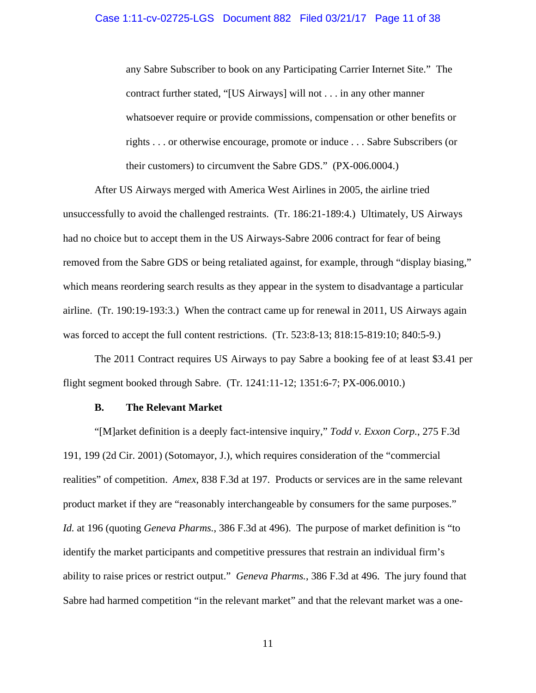any Sabre Subscriber to book on any Participating Carrier Internet Site." The contract further stated, "[US Airways] will not . . . in any other manner whatsoever require or provide commissions, compensation or other benefits or rights . . . or otherwise encourage, promote or induce . . . Sabre Subscribers (or their customers) to circumvent the Sabre GDS." (PX-006.0004.)

After US Airways merged with America West Airlines in 2005, the airline tried unsuccessfully to avoid the challenged restraints. (Tr. 186:21-189:4.) Ultimately, US Airways had no choice but to accept them in the US Airways-Sabre 2006 contract for fear of being removed from the Sabre GDS or being retaliated against, for example, through "display biasing," which means reordering search results as they appear in the system to disadvantage a particular airline. (Tr. 190:19-193:3.) When the contract came up for renewal in 2011, US Airways again was forced to accept the full content restrictions. (Tr. 523:8-13; 818:15-819:10; 840:5-9.)

 The 2011 Contract requires US Airways to pay Sabre a booking fee of at least \$3.41 per flight segment booked through Sabre. (Tr. 1241:11-12; 1351:6-7; PX-006.0010.)

#### **B. The Relevant Market**

"[M]arket definition is a deeply fact-intensive inquiry," *Todd v. Exxon Corp.*, 275 F.3d 191, 199 (2d Cir. 2001) (Sotomayor, J.), which requires consideration of the "commercial realities" of competition. *Amex*, 838 F.3d at 197. Products or services are in the same relevant product market if they are "reasonably interchangeable by consumers for the same purposes." *Id.* at 196 (quoting *Geneva Pharms.*, 386 F.3d at 496). The purpose of market definition is "to identify the market participants and competitive pressures that restrain an individual firm's ability to raise prices or restrict output." *Geneva Pharms.*, 386 F.3d at 496. The jury found that Sabre had harmed competition "in the relevant market" and that the relevant market was a one-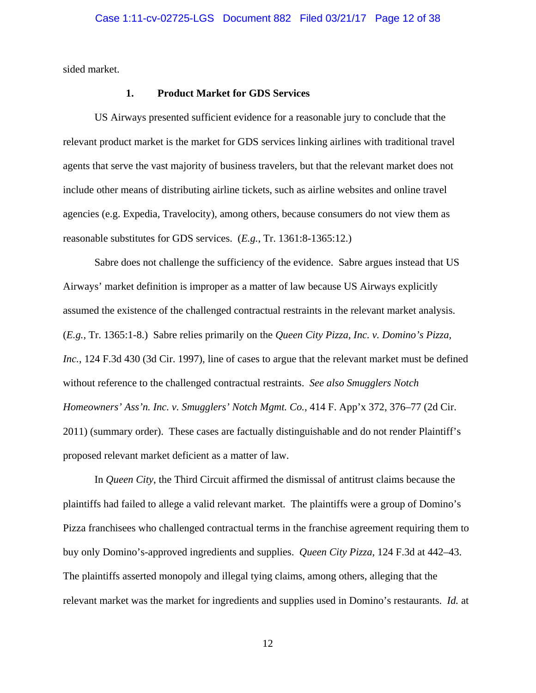sided market.

### **1. Product Market for GDS Services**

US Airways presented sufficient evidence for a reasonable jury to conclude that the relevant product market is the market for GDS services linking airlines with traditional travel agents that serve the vast majority of business travelers, but that the relevant market does not include other means of distributing airline tickets, such as airline websites and online travel agencies (e.g. Expedia, Travelocity), among others, because consumers do not view them as reasonable substitutes for GDS services. (*E.g.*, Tr. 1361:8-1365:12.)

Sabre does not challenge the sufficiency of the evidence. Sabre argues instead that US Airways' market definition is improper as a matter of law because US Airways explicitly assumed the existence of the challenged contractual restraints in the relevant market analysis. (*E.g.*, Tr. 1365:1-8.) Sabre relies primarily on the *Queen City Pizza, Inc. v. Domino's Pizza, Inc.*, 124 F.3d 430 (3d Cir. 1997), line of cases to argue that the relevant market must be defined without reference to the challenged contractual restraints. *See also Smugglers Notch Homeowners' Ass'n. Inc. v. Smugglers' Notch Mgmt. Co.*, 414 F. App'x 372, 376–77 (2d Cir. 2011) (summary order). These cases are factually distinguishable and do not render Plaintiff's proposed relevant market deficient as a matter of law.

In *Queen City*, the Third Circuit affirmed the dismissal of antitrust claims because the plaintiffs had failed to allege a valid relevant market. The plaintiffs were a group of Domino's Pizza franchisees who challenged contractual terms in the franchise agreement requiring them to buy only Domino's-approved ingredients and supplies. *Queen City Pizza*, 124 F.3d at 442–43. The plaintiffs asserted monopoly and illegal tying claims, among others, alleging that the relevant market was the market for ingredients and supplies used in Domino's restaurants. *Id.* at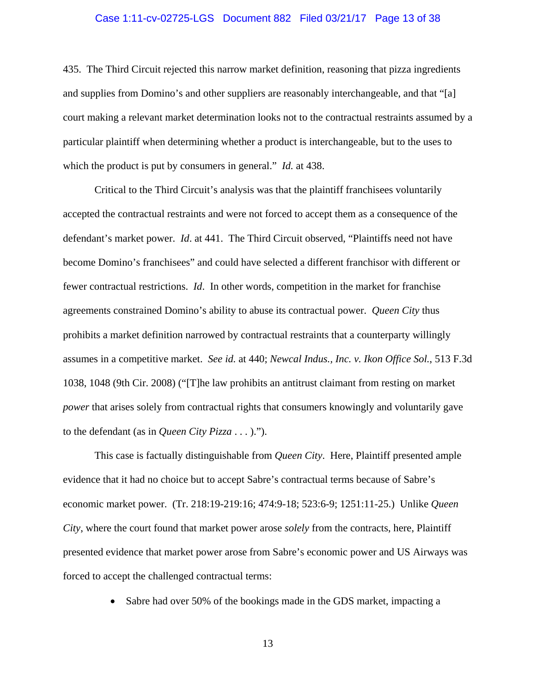### Case 1:11-cv-02725-LGS Document 882 Filed 03/21/17 Page 13 of 38

435. The Third Circuit rejected this narrow market definition, reasoning that pizza ingredients and supplies from Domino's and other suppliers are reasonably interchangeable, and that "[a] court making a relevant market determination looks not to the contractual restraints assumed by a particular plaintiff when determining whether a product is interchangeable, but to the uses to which the product is put by consumers in general." *Id.* at 438.

Critical to the Third Circuit's analysis was that the plaintiff franchisees voluntarily accepted the contractual restraints and were not forced to accept them as a consequence of the defendant's market power. *Id*. at 441. The Third Circuit observed, "Plaintiffs need not have become Domino's franchisees" and could have selected a different franchisor with different or fewer contractual restrictions. *Id*. In other words, competition in the market for franchise agreements constrained Domino's ability to abuse its contractual power. *Queen City* thus prohibits a market definition narrowed by contractual restraints that a counterparty willingly assumes in a competitive market. *See id.* at 440; *Newcal Indus., Inc. v. Ikon Office Sol.*, 513 F.3d 1038, 1048 (9th Cir. 2008) ("[T]he law prohibits an antitrust claimant from resting on market *power* that arises solely from contractual rights that consumers knowingly and voluntarily gave to the defendant (as in *Queen City Pizza* . . . ).").

This case is factually distinguishable from *Queen City*. Here, Plaintiff presented ample evidence that it had no choice but to accept Sabre's contractual terms because of Sabre's economic market power. (Tr. 218:19-219:16; 474:9-18; 523:6-9; 1251:11-25.) Unlike *Queen City*, where the court found that market power arose *solely* from the contracts, here, Plaintiff presented evidence that market power arose from Sabre's economic power and US Airways was forced to accept the challenged contractual terms:

• Sabre had over 50% of the bookings made in the GDS market, impacting a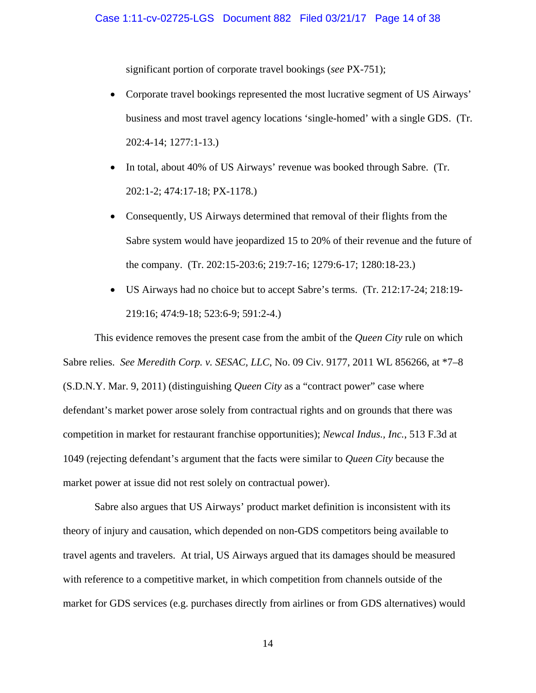significant portion of corporate travel bookings (*see* PX-751);

- Corporate travel bookings represented the most lucrative segment of US Airways' business and most travel agency locations 'single-homed' with a single GDS. (Tr. 202:4-14; 1277:1-13.)
- In total, about 40% of US Airways' revenue was booked through Sabre. (Tr. 202:1-2; 474:17-18; PX-1178.)
- Consequently, US Airways determined that removal of their flights from the Sabre system would have jeopardized 15 to 20% of their revenue and the future of the company. (Tr. 202:15-203:6; 219:7-16; 1279:6-17; 1280:18-23.)
- US Airways had no choice but to accept Sabre's terms. (Tr. 212:17-24; 218:19- 219:16; 474:9-18; 523:6-9; 591:2-4.)

This evidence removes the present case from the ambit of the *Queen City* rule on which Sabre relies. *See Meredith Corp. v. SESAC, LLC*, No. 09 Civ. 9177, 2011 WL 856266, at \*7–8 (S.D.N.Y. Mar. 9, 2011) (distinguishing *Queen City* as a "contract power" case where defendant's market power arose solely from contractual rights and on grounds that there was competition in market for restaurant franchise opportunities); *Newcal Indus., Inc.*, 513 F.3d at 1049 (rejecting defendant's argument that the facts were similar to *Queen City* because the market power at issue did not rest solely on contractual power).

Sabre also argues that US Airways' product market definition is inconsistent with its theory of injury and causation, which depended on non-GDS competitors being available to travel agents and travelers. At trial, US Airways argued that its damages should be measured with reference to a competitive market, in which competition from channels outside of the market for GDS services (e.g. purchases directly from airlines or from GDS alternatives) would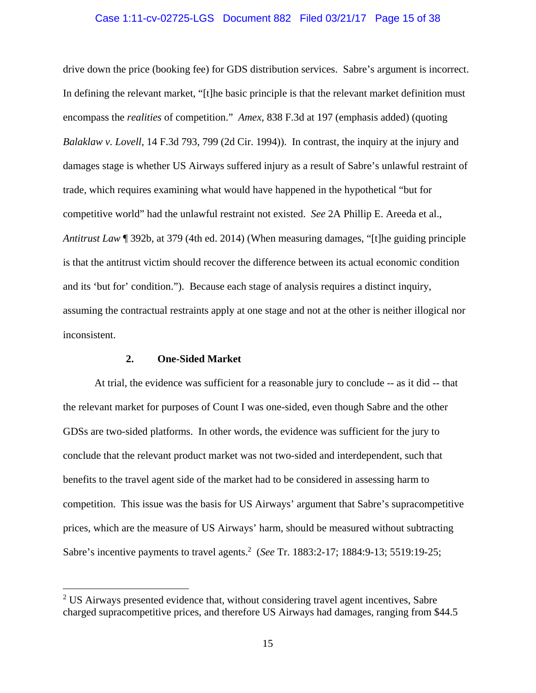### Case 1:11-cv-02725-LGS Document 882 Filed 03/21/17 Page 15 of 38

drive down the price (booking fee) for GDS distribution services. Sabre's argument is incorrect. In defining the relevant market, "[t]he basic principle is that the relevant market definition must encompass the *realities* of competition." *Amex*, 838 F.3d at 197 (emphasis added) (quoting *Balaklaw v. Lovell*, 14 F.3d 793, 799 (2d Cir. 1994)). In contrast, the inquiry at the injury and damages stage is whether US Airways suffered injury as a result of Sabre's unlawful restraint of trade, which requires examining what would have happened in the hypothetical "but for competitive world" had the unlawful restraint not existed. *See* 2A Phillip E. Areeda et al., *Antitrust Law* ¶ 392b, at 379 (4th ed. 2014) (When measuring damages, "[t]he guiding principle is that the antitrust victim should recover the difference between its actual economic condition and its 'but for' condition."). Because each stage of analysis requires a distinct inquiry, assuming the contractual restraints apply at one stage and not at the other is neither illogical nor inconsistent.

### **2. One-Sided Market**

 $\overline{a}$ 

At trial, the evidence was sufficient for a reasonable jury to conclude -- as it did -- that the relevant market for purposes of Count I was one-sided, even though Sabre and the other GDSs are two-sided platforms. In other words, the evidence was sufficient for the jury to conclude that the relevant product market was not two-sided and interdependent, such that benefits to the travel agent side of the market had to be considered in assessing harm to competition. This issue was the basis for US Airways' argument that Sabre's supracompetitive prices, which are the measure of US Airways' harm, should be measured without subtracting Sabre's incentive payments to travel agents.2 (*See* Tr. 1883:2-17; 1884:9-13; 5519:19-25;

<sup>&</sup>lt;sup>2</sup> US Airways presented evidence that, without considering travel agent incentives, Sabre charged supracompetitive prices, and therefore US Airways had damages, ranging from \$44.5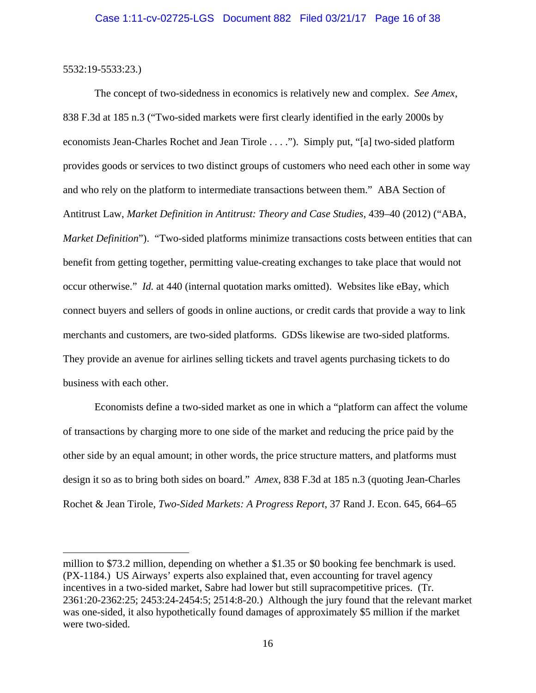5532:19-5533:23.)

 $\overline{a}$ 

The concept of two-sidedness in economics is relatively new and complex. *See Amex*, 838 F.3d at 185 n.3 ("Two-sided markets were first clearly identified in the early 2000s by economists Jean-Charles Rochet and Jean Tirole . . . ."). Simply put, "[a] two-sided platform provides goods or services to two distinct groups of customers who need each other in some way and who rely on the platform to intermediate transactions between them." ABA Section of Antitrust Law, *Market Definition in Antitrust: Theory and Case Studies*, 439–40 (2012) ("ABA, *Market Definition*"). "Two-sided platforms minimize transactions costs between entities that can benefit from getting together, permitting value-creating exchanges to take place that would not occur otherwise." *Id.* at 440 (internal quotation marks omitted). Websites like eBay, which connect buyers and sellers of goods in online auctions, or credit cards that provide a way to link merchants and customers, are two-sided platforms. GDSs likewise are two-sided platforms. They provide an avenue for airlines selling tickets and travel agents purchasing tickets to do business with each other.

Economists define a two-sided market as one in which a "platform can affect the volume of transactions by charging more to one side of the market and reducing the price paid by the other side by an equal amount; in other words, the price structure matters, and platforms must design it so as to bring both sides on board." *Amex*, 838 F.3d at 185 n.3 (quoting Jean-Charles Rochet & Jean Tirole, *Two-Sided Markets: A Progress Report*, 37 Rand J. Econ. 645, 664–65

million to \$73.2 million, depending on whether a \$1.35 or \$0 booking fee benchmark is used. (PX-1184.) US Airways' experts also explained that, even accounting for travel agency incentives in a two-sided market, Sabre had lower but still supracompetitive prices. (Tr. 2361:20-2362:25; 2453:24-2454:5; 2514:8-20.) Although the jury found that the relevant market was one-sided, it also hypothetically found damages of approximately \$5 million if the market were two-sided.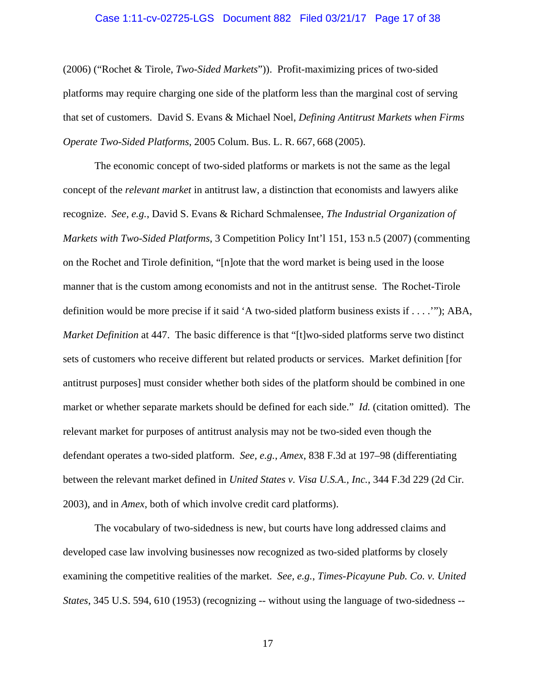### Case 1:11-cv-02725-LGS Document 882 Filed 03/21/17 Page 17 of 38

(2006) ("Rochet & Tirole, *Two-Sided Markets*")). Profit-maximizing prices of two-sided platforms may require charging one side of the platform less than the marginal cost of serving that set of customers. David S. Evans & Michael Noel, *Defining Antitrust Markets when Firms Operate Two-Sided Platforms*, 2005 Colum. Bus. L. R. 667, 668 (2005).

The economic concept of two-sided platforms or markets is not the same as the legal concept of the *relevant market* in antitrust law, a distinction that economists and lawyers alike recognize. *See, e.g.*, David S. Evans & Richard Schmalensee, *The Industrial Organization of Markets with Two-Sided Platforms*, 3 Competition Policy Int'l 151, 153 n.5 (2007) (commenting on the Rochet and Tirole definition, "[n]ote that the word market is being used in the loose manner that is the custom among economists and not in the antitrust sense. The Rochet-Tirole definition would be more precise if it said 'A two-sided platform business exists if . . . .'"); ABA, *Market Definition* at 447. The basic difference is that "[t]wo-sided platforms serve two distinct sets of customers who receive different but related products or services. Market definition [for antitrust purposes] must consider whether both sides of the platform should be combined in one market or whether separate markets should be defined for each side." *Id.* (citation omitted). The relevant market for purposes of antitrust analysis may not be two-sided even though the defendant operates a two-sided platform. *See, e.g.*, *Amex*, 838 F.3d at 197–98 (differentiating between the relevant market defined in *United States v. Visa U.S.A., Inc.*, 344 F.3d 229 (2d Cir. 2003), and in *Amex*, both of which involve credit card platforms).

The vocabulary of two-sidedness is new, but courts have long addressed claims and developed case law involving businesses now recognized as two-sided platforms by closely examining the competitive realities of the market. *See, e.g.*, *Times-Picayune Pub. Co. v. United States*, 345 U.S. 594, 610 (1953) (recognizing -- without using the language of two-sidedness --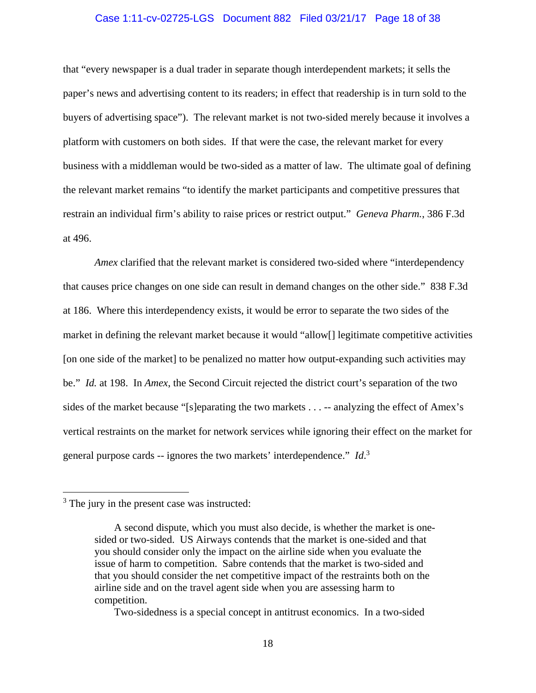#### Case 1:11-cv-02725-LGS Document 882 Filed 03/21/17 Page 18 of 38

that "every newspaper is a dual trader in separate though interdependent markets; it sells the paper's news and advertising content to its readers; in effect that readership is in turn sold to the buyers of advertising space"). The relevant market is not two-sided merely because it involves a platform with customers on both sides. If that were the case, the relevant market for every business with a middleman would be two-sided as a matter of law. The ultimate goal of defining the relevant market remains "to identify the market participants and competitive pressures that restrain an individual firm's ability to raise prices or restrict output." *Geneva Pharm.*, 386 F.3d at 496.

*Amex* clarified that the relevant market is considered two-sided where "interdependency" that causes price changes on one side can result in demand changes on the other side." 838 F.3d at 186. Where this interdependency exists, it would be error to separate the two sides of the market in defining the relevant market because it would "allow[] legitimate competitive activities [on one side of the market] to be penalized no matter how output-expanding such activities may be." *Id.* at 198. In *Amex*, the Second Circuit rejected the district court's separation of the two sides of the market because "[s]eparating the two markets . . . -- analyzing the effect of Amex's vertical restraints on the market for network services while ignoring their effect on the market for general purpose cards -- ignores the two markets' interdependence." *Id*. 3

<u>.</u>

Two-sidedness is a special concept in antitrust economics. In a two-sided

<sup>&</sup>lt;sup>3</sup> The jury in the present case was instructed:

A second dispute, which you must also decide, is whether the market is onesided or two-sided. US Airways contends that the market is one-sided and that you should consider only the impact on the airline side when you evaluate the issue of harm to competition. Sabre contends that the market is two-sided and that you should consider the net competitive impact of the restraints both on the airline side and on the travel agent side when you are assessing harm to competition.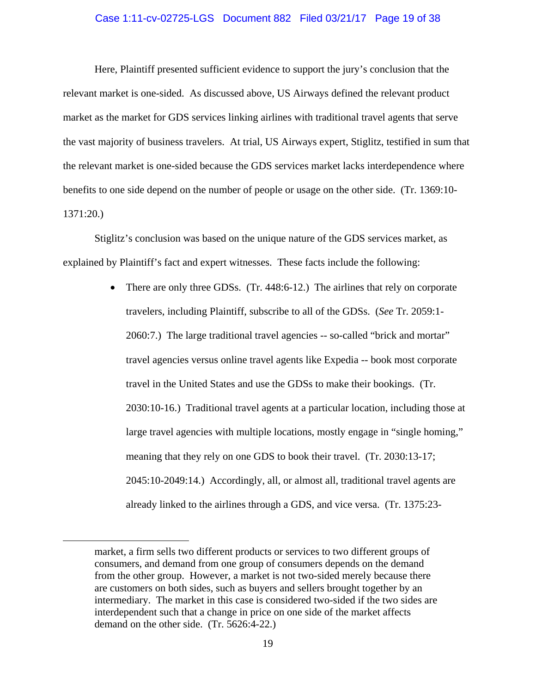#### Case 1:11-cv-02725-LGS Document 882 Filed 03/21/17 Page 19 of 38

Here, Plaintiff presented sufficient evidence to support the jury's conclusion that the relevant market is one-sided. As discussed above, US Airways defined the relevant product market as the market for GDS services linking airlines with traditional travel agents that serve the vast majority of business travelers. At trial, US Airways expert, Stiglitz, testified in sum that the relevant market is one-sided because the GDS services market lacks interdependence where benefits to one side depend on the number of people or usage on the other side. (Tr. 1369:10- 1371:20.)

Stiglitz's conclusion was based on the unique nature of the GDS services market, as explained by Plaintiff's fact and expert witnesses. These facts include the following:

> • There are only three GDSs. (Tr. 448:6-12.) The airlines that rely on corporate travelers, including Plaintiff, subscribe to all of the GDSs. (*See* Tr. 2059:1- 2060:7.) The large traditional travel agencies -- so-called "brick and mortar" travel agencies versus online travel agents like Expedia -- book most corporate travel in the United States and use the GDSs to make their bookings. (Tr. 2030:10-16.) Traditional travel agents at a particular location, including those at large travel agencies with multiple locations, mostly engage in "single homing," meaning that they rely on one GDS to book their travel. (Tr. 2030:13-17; 2045:10-2049:14.) Accordingly, all, or almost all, traditional travel agents are already linked to the airlines through a GDS, and vice versa. (Tr. 1375:23-

 $\overline{a}$ 

market, a firm sells two different products or services to two different groups of consumers, and demand from one group of consumers depends on the demand from the other group. However, a market is not two-sided merely because there are customers on both sides, such as buyers and sellers brought together by an intermediary. The market in this case is considered two-sided if the two sides are interdependent such that a change in price on one side of the market affects demand on the other side. (Tr. 5626:4-22.)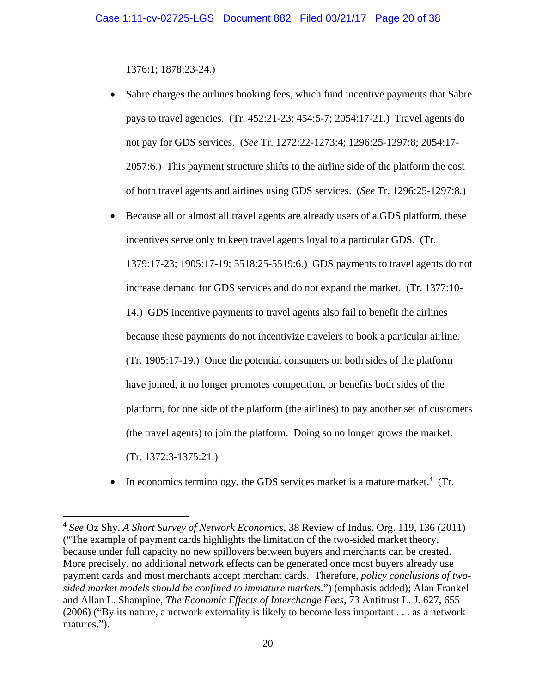1376:1; 1878:23-24.)

 $\overline{a}$ 

- Sabre charges the airlines booking fees, which fund incentive payments that Sabre pays to travel agencies. (Tr. 452:21-23; 454:5-7; 2054:17-21.) Travel agents do not pay for GDS services. (*See* Tr. 1272:22-1273:4; 1296:25-1297:8; 2054:17- 2057:6.) This payment structure shifts to the airline side of the platform the cost of both travel agents and airlines using GDS services. (*See* Tr. 1296:25-1297:8.)
- Because all or almost all travel agents are already users of a GDS platform, these incentives serve only to keep travel agents loyal to a particular GDS. (Tr. 1379:17-23; 1905:17-19; 5518:25-5519:6.) GDS payments to travel agents do not increase demand for GDS services and do not expand the market. (Tr. 1377:10- 14.) GDS incentive payments to travel agents also fail to benefit the airlines because these payments do not incentivize travelers to book a particular airline. (Tr. 1905:17-19.) Once the potential consumers on both sides of the platform have joined, it no longer promotes competition, or benefits both sides of the platform, for one side of the platform (the airlines) to pay another set of customers (the travel agents) to join the platform. Doing so no longer grows the market. (Tr. 1372:3-1375:21.)
- $\bullet$  In economics terminology, the GDS services market is a mature market.<sup>4</sup> (Tr.

<sup>4</sup> *See* Oz Shy, *A Short Survey of Network Economics*, 38 Review of Indus. Org. 119, 136 (2011) ("The example of payment cards highlights the limitation of the two-sided market theory, because under full capacity no new spillovers between buyers and merchants can be created. More precisely, no additional network effects can be generated once most buyers already use payment cards and most merchants accept merchant cards. Therefore, *policy conclusions of twosided market models should be confined to immature markets.*") (emphasis added); Alan Frankel and Allan L. Shampine, *The Economic Effects of Interchange Fees*, 73 Antitrust L. J. 627, 655 (2006) ("By its nature, a network externality is likely to become less important . . . as a network matures.").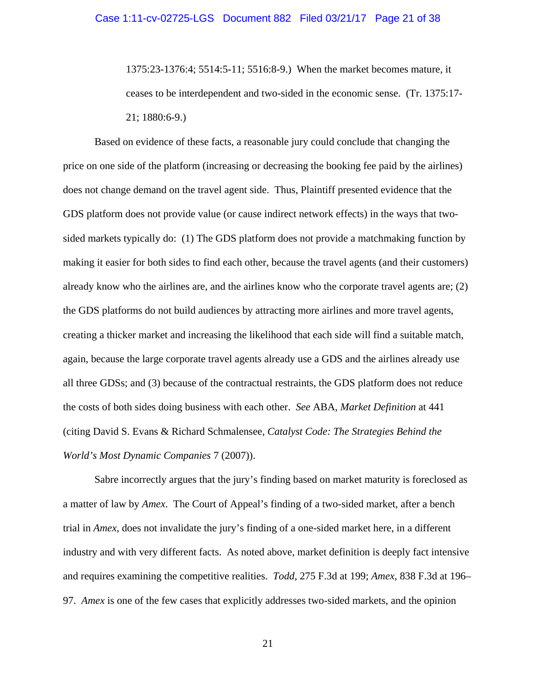1375:23-1376:4; 5514:5-11; 5516:8-9.) When the market becomes mature, it ceases to be interdependent and two-sided in the economic sense. (Tr. 1375:17- 21; 1880:6-9.)

Based on evidence of these facts, a reasonable jury could conclude that changing the price on one side of the platform (increasing or decreasing the booking fee paid by the airlines) does not change demand on the travel agent side. Thus, Plaintiff presented evidence that the GDS platform does not provide value (or cause indirect network effects) in the ways that twosided markets typically do: (1) The GDS platform does not provide a matchmaking function by making it easier for both sides to find each other, because the travel agents (and their customers) already know who the airlines are, and the airlines know who the corporate travel agents are; (2) the GDS platforms do not build audiences by attracting more airlines and more travel agents, creating a thicker market and increasing the likelihood that each side will find a suitable match, again, because the large corporate travel agents already use a GDS and the airlines already use all three GDSs; and (3) because of the contractual restraints, the GDS platform does not reduce the costs of both sides doing business with each other. *See* ABA, *Market Definition* at 441 (citing David S. Evans & Richard Schmalensee, *Catalyst Code: The Strategies Behind the World's Most Dynamic Companies* 7 (2007)).

Sabre incorrectly argues that the jury's finding based on market maturity is foreclosed as a matter of law by *Amex*. The Court of Appeal's finding of a two-sided market, after a bench trial in *Amex*, does not invalidate the jury's finding of a one-sided market here, in a different industry and with very different facts. As noted above, market definition is deeply fact intensive and requires examining the competitive realities. *Todd*, 275 F.3d at 199; *Amex*, 838 F.3d at 196– 97. *Amex* is one of the few cases that explicitly addresses two-sided markets, and the opinion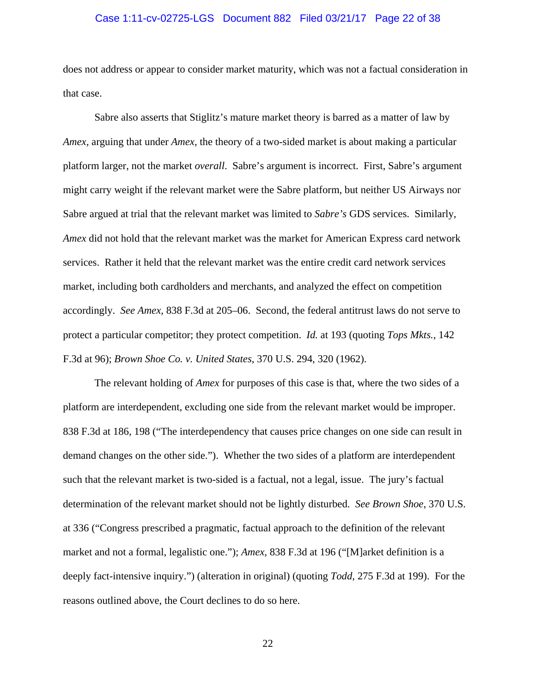### Case 1:11-cv-02725-LGS Document 882 Filed 03/21/17 Page 22 of 38

does not address or appear to consider market maturity, which was not a factual consideration in that case.

Sabre also asserts that Stiglitz's mature market theory is barred as a matter of law by *Amex,* arguing that under *Amex*, the theory of a two-sided market is about making a particular platform larger, not the market *overall*. Sabre's argument is incorrect. First, Sabre's argument might carry weight if the relevant market were the Sabre platform, but neither US Airways nor Sabre argued at trial that the relevant market was limited to *Sabre's* GDS services. Similarly, *Amex* did not hold that the relevant market was the market for American Express card network services. Rather it held that the relevant market was the entire credit card network services market, including both cardholders and merchants, and analyzed the effect on competition accordingly. *See Amex*, 838 F.3d at 205–06. Second, the federal antitrust laws do not serve to protect a particular competitor; they protect competition. *Id.* at 193 (quoting *Tops Mkts.*, 142 F.3d at 96); *Brown Shoe Co. v. United States*, 370 U.S. 294, 320 (1962).

The relevant holding of *Amex* for purposes of this case is that, where the two sides of a platform are interdependent, excluding one side from the relevant market would be improper. 838 F.3d at 186, 198 ("The interdependency that causes price changes on one side can result in demand changes on the other side."). Whether the two sides of a platform are interdependent such that the relevant market is two-sided is a factual, not a legal, issue. The jury's factual determination of the relevant market should not be lightly disturbed. *See Brown Shoe*, 370 U.S. at 336 ("Congress prescribed a pragmatic, factual approach to the definition of the relevant market and not a formal, legalistic one."); *Amex*, 838 F.3d at 196 ("[M]arket definition is a deeply fact-intensive inquiry.") (alteration in original) (quoting *Todd*, 275 F.3d at 199). For the reasons outlined above, the Court declines to do so here.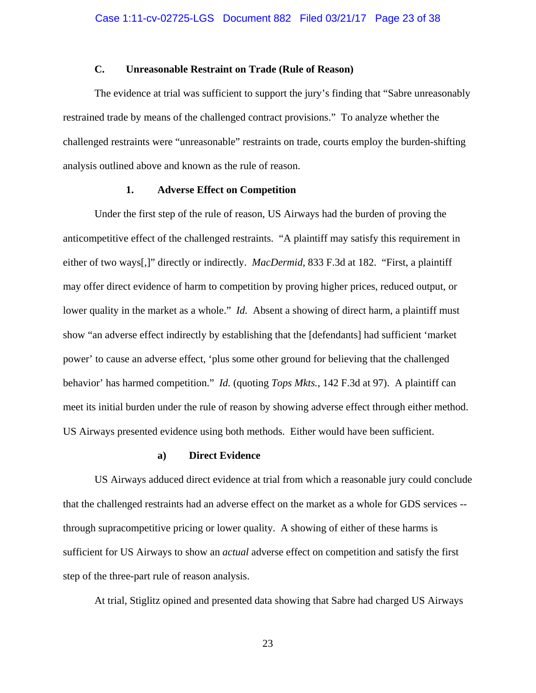### **C. Unreasonable Restraint on Trade (Rule of Reason)**

The evidence at trial was sufficient to support the jury's finding that "Sabre unreasonably restrained trade by means of the challenged contract provisions." To analyze whether the challenged restraints were "unreasonable" restraints on trade, courts employ the burden-shifting analysis outlined above and known as the rule of reason.

### **1. Adverse Effect on Competition**

Under the first step of the rule of reason, US Airways had the burden of proving the anticompetitive effect of the challenged restraints. "A plaintiff may satisfy this requirement in either of two ways[,]" directly or indirectly. *MacDermid*, 833 F.3d at 182. "First, a plaintiff may offer direct evidence of harm to competition by proving higher prices, reduced output, or lower quality in the market as a whole." *Id.* Absent a showing of direct harm, a plaintiff must show "an adverse effect indirectly by establishing that the [defendants] had sufficient 'market power' to cause an adverse effect, 'plus some other ground for believing that the challenged behavior' has harmed competition." *Id.* (quoting *Tops Mkts.*, 142 F.3d at 97). A plaintiff can meet its initial burden under the rule of reason by showing adverse effect through either method. US Airways presented evidence using both methods. Either would have been sufficient.

#### **a) Direct Evidence**

US Airways adduced direct evidence at trial from which a reasonable jury could conclude that the challenged restraints had an adverse effect on the market as a whole for GDS services - through supracompetitive pricing or lower quality. A showing of either of these harms is sufficient for US Airways to show an *actual* adverse effect on competition and satisfy the first step of the three-part rule of reason analysis.

At trial, Stiglitz opined and presented data showing that Sabre had charged US Airways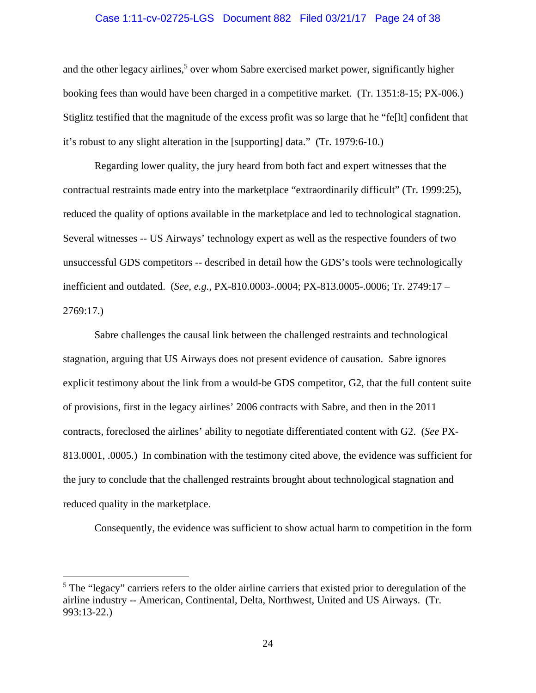### Case 1:11-cv-02725-LGS Document 882 Filed 03/21/17 Page 24 of 38

and the other legacy airlines,<sup>5</sup> over whom Sabre exercised market power, significantly higher booking fees than would have been charged in a competitive market. (Tr. 1351:8-15; PX-006.) Stiglitz testified that the magnitude of the excess profit was so large that he "fe[lt] confident that it's robust to any slight alteration in the [supporting] data." (Tr. 1979:6-10.)

Regarding lower quality, the jury heard from both fact and expert witnesses that the contractual restraints made entry into the marketplace "extraordinarily difficult" (Tr. 1999:25), reduced the quality of options available in the marketplace and led to technological stagnation. Several witnesses -- US Airways' technology expert as well as the respective founders of two unsuccessful GDS competitors -- described in detail how the GDS's tools were technologically inefficient and outdated. (*See, e.g.,* PX-810.0003-.0004; PX-813.0005-.0006; Tr. 2749:17 – 2769:17.)

Sabre challenges the causal link between the challenged restraints and technological stagnation, arguing that US Airways does not present evidence of causation. Sabre ignores explicit testimony about the link from a would-be GDS competitor, G2, that the full content suite of provisions, first in the legacy airlines' 2006 contracts with Sabre, and then in the 2011 contracts, foreclosed the airlines' ability to negotiate differentiated content with G2. (*See* PX-813.0001, .0005.) In combination with the testimony cited above, the evidence was sufficient for the jury to conclude that the challenged restraints brought about technological stagnation and reduced quality in the marketplace.

Consequently, the evidence was sufficient to show actual harm to competition in the form

<sup>&</sup>lt;sup>5</sup> The "legacy" carriers refers to the older airline carriers that existed prior to deregulation of the airline industry -- American, Continental, Delta, Northwest, United and US Airways. (Tr. 993:13-22.)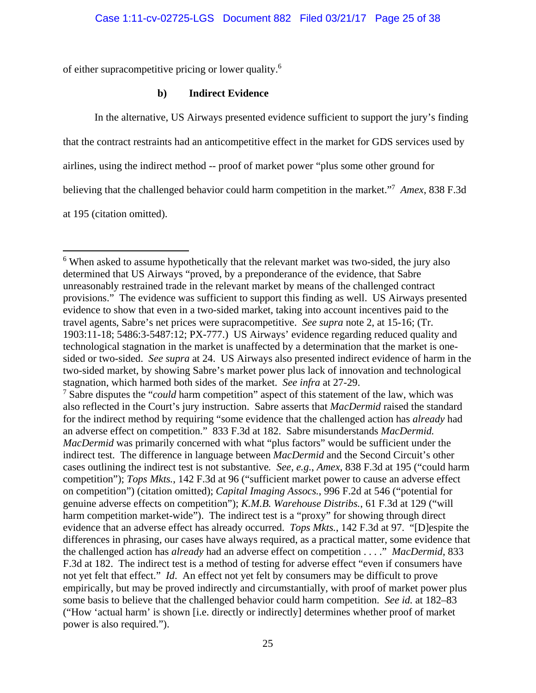of either supracompetitive pricing or lower quality.6

# **b) Indirect Evidence**

In the alternative, US Airways presented evidence sufficient to support the jury's finding

that the contract restraints had an anticompetitive effect in the market for GDS services used by

airlines, using the indirect method -- proof of market power "plus some other ground for

believing that the challenged behavior could harm competition in the market."7 *Amex*, 838 F.3d

at 195 (citation omitted).

 $\overline{a}$ 

<sup>&</sup>lt;sup>6</sup> When asked to assume hypothetically that the relevant market was two-sided, the jury also determined that US Airways "proved, by a preponderance of the evidence, that Sabre unreasonably restrained trade in the relevant market by means of the challenged contract provisions." The evidence was sufficient to support this finding as well. US Airways presented evidence to show that even in a two-sided market, taking into account incentives paid to the travel agents, Sabre's net prices were supracompetitive. *See supra* note 2, at 15-16; (Tr. 1903:11-18; 5486:3-5487:12; PX-777.) US Airways' evidence regarding reduced quality and technological stagnation in the market is unaffected by a determination that the market is onesided or two-sided. *See supra* at 24. US Airways also presented indirect evidence of harm in the two-sided market, by showing Sabre's market power plus lack of innovation and technological stagnation, which harmed both sides of the market. *See infra* at 27-29.

<sup>&</sup>lt;sup>7</sup> Sabre disputes the "*could* harm competition" aspect of this statement of the law, which was also reflected in the Court's jury instruction. Sabre asserts that *MacDermid* raised the standard for the indirect method by requiring "some evidence that the challenged action has *already* had an adverse effect on competition." 833 F.3d at 182. Sabre misunderstands *MacDermid. MacDermid* was primarily concerned with what "plus factors" would be sufficient under the indirect test. The difference in language between *MacDermid* and the Second Circuit's other cases outlining the indirect test is not substantive*. See, e.g.*, *Amex*, 838 F.3d at 195 ("could harm competition"); *Tops Mkts.*, 142 F.3d at 96 ("sufficient market power to cause an adverse effect on competition") (citation omitted); *Capital Imaging Assocs.*, 996 F.2d at 546 ("potential for genuine adverse effects on competition"); *K.M.B. Warehouse Distribs.*, 61 F.3d at 129 ("will harm competition market-wide"). The indirect test is a "proxy" for showing through direct evidence that an adverse effect has already occurred. *Tops Mkts.*, 142 F.3d at 97. "[D]espite the differences in phrasing, our cases have always required, as a practical matter, some evidence that the challenged action has *already* had an adverse effect on competition . . . ." *MacDermid*, 833 F.3d at 182. The indirect test is a method of testing for adverse effect "even if consumers have not yet felt that effect." *Id*. An effect not yet felt by consumers may be difficult to prove empirically, but may be proved indirectly and circumstantially, with proof of market power plus some basis to believe that the challenged behavior could harm competition. *See id.* at 182–83 ("How 'actual harm' is shown [i.e. directly or indirectly] determines whether proof of market power is also required.").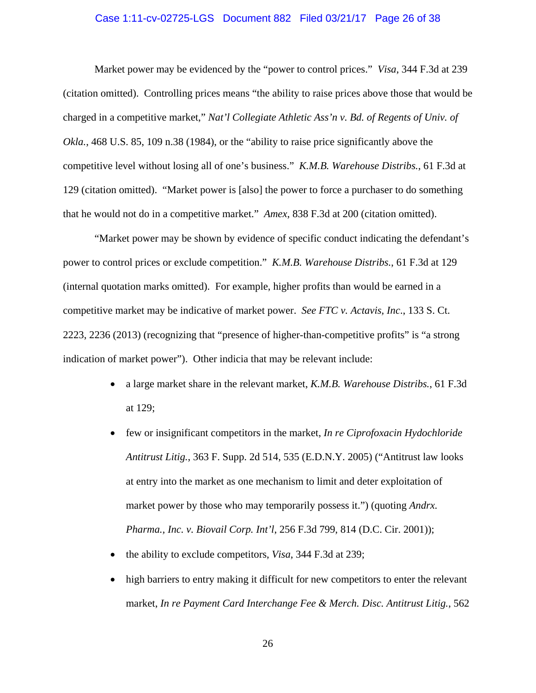### Case 1:11-cv-02725-LGS Document 882 Filed 03/21/17 Page 26 of 38

Market power may be evidenced by the "power to control prices." *Visa*, 344 F.3d at 239 (citation omitted). Controlling prices means "the ability to raise prices above those that would be charged in a competitive market," *Nat'l Collegiate Athletic Ass'n v. Bd. of Regents of Univ. of Okla.*, 468 U.S. 85, 109 n.38 (1984), or the "ability to raise price significantly above the competitive level without losing all of one's business." *K.M.B. Warehouse Distribs.*, 61 F.3d at 129 (citation omitted). "Market power is [also] the power to force a purchaser to do something that he would not do in a competitive market." *Amex*, 838 F.3d at 200 (citation omitted).

"Market power may be shown by evidence of specific conduct indicating the defendant's power to control prices or exclude competition." *K.M.B. Warehouse Distribs.*, 61 F.3d at 129 (internal quotation marks omitted). For example, higher profits than would be earned in a competitive market may be indicative of market power. *See FTC v. Actavis, Inc*., 133 S. Ct. 2223, 2236 (2013) (recognizing that "presence of higher-than-competitive profits" is "a strong indication of market power"). Other indicia that may be relevant include:

- a large market share in the relevant market, *K.M.B. Warehouse Distribs.*, 61 F.3d at 129;
- few or insignificant competitors in the market, *In re Ciprofoxacin Hydochloride Antitrust Litig.*, 363 F. Supp. 2d 514, 535 (E.D.N.Y. 2005) ("Antitrust law looks at entry into the market as one mechanism to limit and deter exploitation of market power by those who may temporarily possess it.") (quoting *Andrx. Pharma., Inc. v. Biovail Corp. Int'l*, 256 F.3d 799, 814 (D.C. Cir. 2001));
- the ability to exclude competitors, *Visa*, 344 F.3d at 239;
- high barriers to entry making it difficult for new competitors to enter the relevant market, *In re Payment Card Interchange Fee & Merch. Disc. Antitrust Litig.*, 562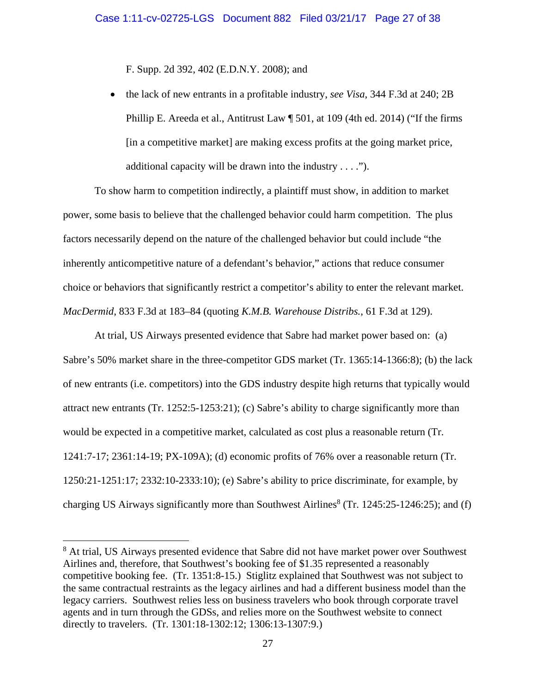F. Supp. 2d 392, 402 (E.D.N.Y. 2008); and

 the lack of new entrants in a profitable industry, *see Visa*, 344 F.3d at 240; 2B Phillip E. Areeda et al., Antitrust Law ¶ 501, at 109 (4th ed. 2014) ("If the firms [in a competitive market] are making excess profits at the going market price, additional capacity will be drawn into the industry  $\dots$ .").

To show harm to competition indirectly, a plaintiff must show, in addition to market power, some basis to believe that the challenged behavior could harm competition. The plus factors necessarily depend on the nature of the challenged behavior but could include "the inherently anticompetitive nature of a defendant's behavior," actions that reduce consumer choice or behaviors that significantly restrict a competitor's ability to enter the relevant market. *MacDermid*, 833 F.3d at 183–84 (quoting *K.M.B. Warehouse Distribs.*, 61 F.3d at 129).

At trial, US Airways presented evidence that Sabre had market power based on: (a) Sabre's 50% market share in the three-competitor GDS market (Tr. 1365:14-1366:8); (b) the lack of new entrants (i.e. competitors) into the GDS industry despite high returns that typically would attract new entrants (Tr. 1252:5-1253:21); (c) Sabre's ability to charge significantly more than would be expected in a competitive market, calculated as cost plus a reasonable return (Tr. 1241:7-17; 2361:14-19; PX-109A); (d) economic profits of 76% over a reasonable return (Tr. 1250:21-1251:17; 2332:10-2333:10); (e) Sabre's ability to price discriminate, for example, by charging US Airways significantly more than Southwest Airlines $^{8}$  (Tr. 1245:25-1246:25); and (f)

 $\overline{a}$ 

<sup>&</sup>lt;sup>8</sup> At trial, US Airways presented evidence that Sabre did not have market power over Southwest Airlines and, therefore, that Southwest's booking fee of \$1.35 represented a reasonably competitive booking fee. (Tr. 1351:8-15.) Stiglitz explained that Southwest was not subject to the same contractual restraints as the legacy airlines and had a different business model than the legacy carriers. Southwest relies less on business travelers who book through corporate travel agents and in turn through the GDSs, and relies more on the Southwest website to connect directly to travelers. (Tr. 1301:18-1302:12; 1306:13-1307:9.)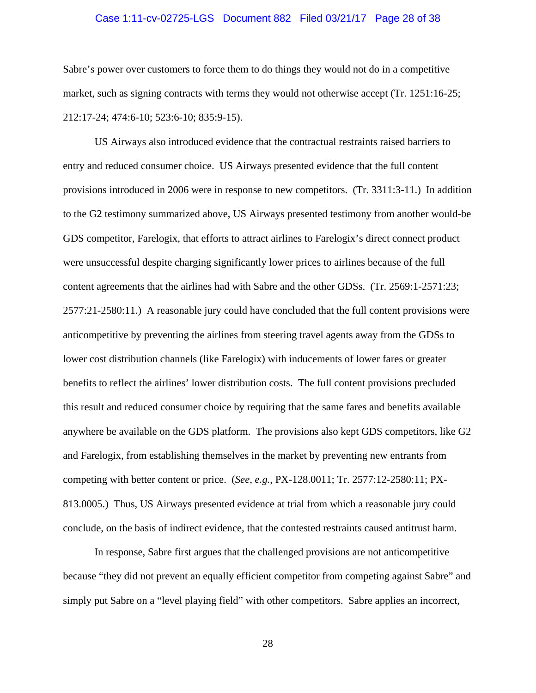### Case 1:11-cv-02725-LGS Document 882 Filed 03/21/17 Page 28 of 38

Sabre's power over customers to force them to do things they would not do in a competitive market, such as signing contracts with terms they would not otherwise accept (Tr. 1251:16-25; 212:17-24; 474:6-10; 523:6-10; 835:9-15).

US Airways also introduced evidence that the contractual restraints raised barriers to entry and reduced consumer choice. US Airways presented evidence that the full content provisions introduced in 2006 were in response to new competitors. (Tr. 3311:3-11.) In addition to the G2 testimony summarized above, US Airways presented testimony from another would-be GDS competitor, Farelogix, that efforts to attract airlines to Farelogix's direct connect product were unsuccessful despite charging significantly lower prices to airlines because of the full content agreements that the airlines had with Sabre and the other GDSs. (Tr. 2569:1-2571:23; 2577:21-2580:11.) A reasonable jury could have concluded that the full content provisions were anticompetitive by preventing the airlines from steering travel agents away from the GDSs to lower cost distribution channels (like Farelogix) with inducements of lower fares or greater benefits to reflect the airlines' lower distribution costs. The full content provisions precluded this result and reduced consumer choice by requiring that the same fares and benefits available anywhere be available on the GDS platform. The provisions also kept GDS competitors, like G2 and Farelogix, from establishing themselves in the market by preventing new entrants from competing with better content or price. (*See, e.g.*, PX-128.0011; Tr. 2577:12-2580:11; PX-813.0005.) Thus, US Airways presented evidence at trial from which a reasonable jury could conclude, on the basis of indirect evidence, that the contested restraints caused antitrust harm.

In response, Sabre first argues that the challenged provisions are not anticompetitive because "they did not prevent an equally efficient competitor from competing against Sabre" and simply put Sabre on a "level playing field" with other competitors. Sabre applies an incorrect,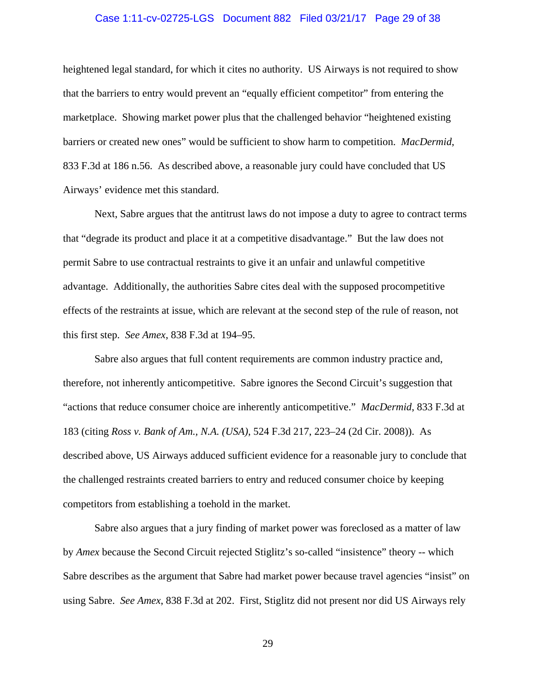### Case 1:11-cv-02725-LGS Document 882 Filed 03/21/17 Page 29 of 38

heightened legal standard, for which it cites no authority. US Airways is not required to show that the barriers to entry would prevent an "equally efficient competitor" from entering the marketplace. Showing market power plus that the challenged behavior "heightened existing barriers or created new ones" would be sufficient to show harm to competition. *MacDermid*, 833 F.3d at 186 n.56. As described above, a reasonable jury could have concluded that US Airways' evidence met this standard.

Next, Sabre argues that the antitrust laws do not impose a duty to agree to contract terms that "degrade its product and place it at a competitive disadvantage." But the law does not permit Sabre to use contractual restraints to give it an unfair and unlawful competitive advantage. Additionally, the authorities Sabre cites deal with the supposed procompetitive effects of the restraints at issue, which are relevant at the second step of the rule of reason, not this first step. *See Amex*, 838 F.3d at 194–95.

Sabre also argues that full content requirements are common industry practice and, therefore, not inherently anticompetitive. Sabre ignores the Second Circuit's suggestion that "actions that reduce consumer choice are inherently anticompetitive." *MacDermid*, 833 F.3d at 183 (citing *Ross v. Bank of Am., N.A. (USA)*, 524 F.3d 217, 223–24 (2d Cir. 2008)). As described above, US Airways adduced sufficient evidence for a reasonable jury to conclude that the challenged restraints created barriers to entry and reduced consumer choice by keeping competitors from establishing a toehold in the market.

Sabre also argues that a jury finding of market power was foreclosed as a matter of law by *Amex* because the Second Circuit rejected Stiglitz's so-called "insistence" theory -- which Sabre describes as the argument that Sabre had market power because travel agencies "insist" on using Sabre. *See Amex*, 838 F.3d at 202. First, Stiglitz did not present nor did US Airways rely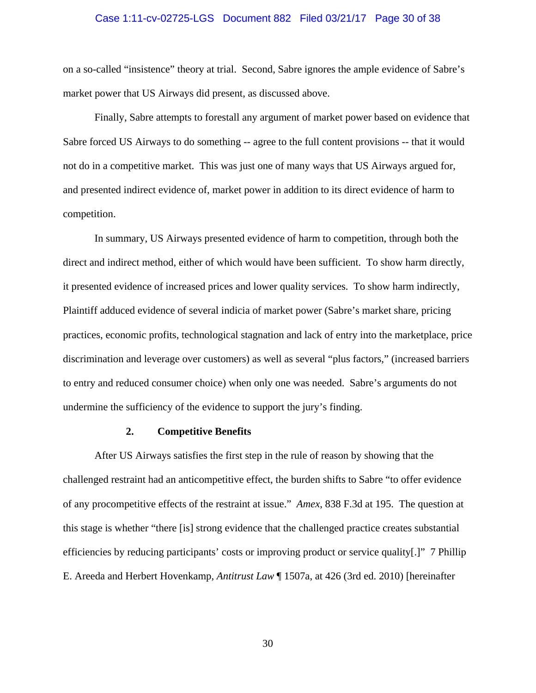#### Case 1:11-cv-02725-LGS Document 882 Filed 03/21/17 Page 30 of 38

on a so-called "insistence" theory at trial. Second, Sabre ignores the ample evidence of Sabre's market power that US Airways did present, as discussed above.

Finally, Sabre attempts to forestall any argument of market power based on evidence that Sabre forced US Airways to do something -- agree to the full content provisions -- that it would not do in a competitive market. This was just one of many ways that US Airways argued for, and presented indirect evidence of, market power in addition to its direct evidence of harm to competition.

In summary, US Airways presented evidence of harm to competition, through both the direct and indirect method, either of which would have been sufficient. To show harm directly, it presented evidence of increased prices and lower quality services. To show harm indirectly, Plaintiff adduced evidence of several indicia of market power (Sabre's market share, pricing practices, economic profits, technological stagnation and lack of entry into the marketplace, price discrimination and leverage over customers) as well as several "plus factors," (increased barriers to entry and reduced consumer choice) when only one was needed. Sabre's arguments do not undermine the sufficiency of the evidence to support the jury's finding.

### **2. Competitive Benefits**

After US Airways satisfies the first step in the rule of reason by showing that the challenged restraint had an anticompetitive effect, the burden shifts to Sabre "to offer evidence of any procompetitive effects of the restraint at issue." *Amex*, 838 F.3d at 195. The question at this stage is whether "there [is] strong evidence that the challenged practice creates substantial efficiencies by reducing participants' costs or improving product or service quality[.]" 7 Phillip E. Areeda and Herbert Hovenkamp, *Antitrust Law* ¶ 1507a, at 426 (3rd ed. 2010) [hereinafter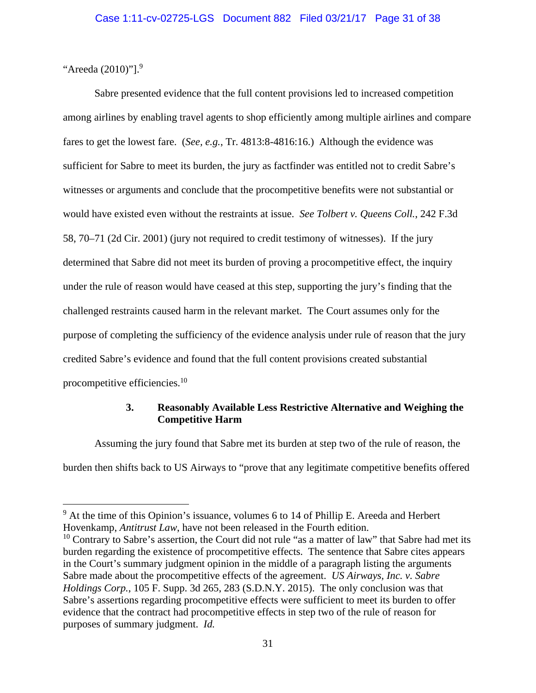"Areeda (2010)"].<sup>9</sup>

 $\overline{a}$ 

Sabre presented evidence that the full content provisions led to increased competition among airlines by enabling travel agents to shop efficiently among multiple airlines and compare fares to get the lowest fare. (*See, e.g.*, Tr. 4813:8-4816:16.) Although the evidence was sufficient for Sabre to meet its burden, the jury as factfinder was entitled not to credit Sabre's witnesses or arguments and conclude that the procompetitive benefits were not substantial or would have existed even without the restraints at issue. *See Tolbert v. Queens Coll.*, 242 F.3d 58, 70–71 (2d Cir. 2001) (jury not required to credit testimony of witnesses). If the jury determined that Sabre did not meet its burden of proving a procompetitive effect, the inquiry under the rule of reason would have ceased at this step, supporting the jury's finding that the challenged restraints caused harm in the relevant market. The Court assumes only for the purpose of completing the sufficiency of the evidence analysis under rule of reason that the jury credited Sabre's evidence and found that the full content provisions created substantial procompetitive efficiencies.10

# **3. Reasonably Available Less Restrictive Alternative and Weighing the Competitive Harm**

Assuming the jury found that Sabre met its burden at step two of the rule of reason, the burden then shifts back to US Airways to "prove that any legitimate competitive benefits offered

 $9$  At the time of this Opinion's issuance, volumes 6 to 14 of Phillip E. Areeda and Herbert Hovenkamp, *Antitrust Law*, have not been released in the Fourth edition.

 $10$  Contrary to Sabre's assertion, the Court did not rule "as a matter of law" that Sabre had met its burden regarding the existence of procompetitive effects. The sentence that Sabre cites appears in the Court's summary judgment opinion in the middle of a paragraph listing the arguments Sabre made about the procompetitive effects of the agreement. *US Airways, Inc. v. Sabre Holdings Corp.*, 105 F. Supp. 3d 265, 283 (S.D.N.Y. 2015). The only conclusion was that Sabre's assertions regarding procompetitive effects were sufficient to meet its burden to offer evidence that the contract had procompetitive effects in step two of the rule of reason for purposes of summary judgment. *Id.*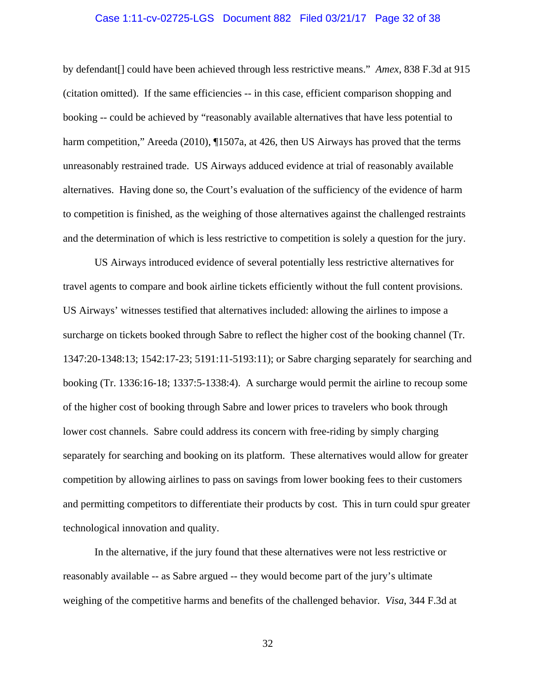### Case 1:11-cv-02725-LGS Document 882 Filed 03/21/17 Page 32 of 38

by defendant[] could have been achieved through less restrictive means." *Amex*, 838 F.3d at 915 (citation omitted). If the same efficiencies -- in this case, efficient comparison shopping and booking -- could be achieved by "reasonably available alternatives that have less potential to harm competition," Areeda (2010), ¶1507a, at 426, then US Airways has proved that the terms unreasonably restrained trade. US Airways adduced evidence at trial of reasonably available alternatives. Having done so, the Court's evaluation of the sufficiency of the evidence of harm to competition is finished, as the weighing of those alternatives against the challenged restraints and the determination of which is less restrictive to competition is solely a question for the jury.

US Airways introduced evidence of several potentially less restrictive alternatives for travel agents to compare and book airline tickets efficiently without the full content provisions. US Airways' witnesses testified that alternatives included: allowing the airlines to impose a surcharge on tickets booked through Sabre to reflect the higher cost of the booking channel (Tr. 1347:20-1348:13; 1542:17-23; 5191:11-5193:11); or Sabre charging separately for searching and booking (Tr. 1336:16-18; 1337:5-1338:4). A surcharge would permit the airline to recoup some of the higher cost of booking through Sabre and lower prices to travelers who book through lower cost channels. Sabre could address its concern with free-riding by simply charging separately for searching and booking on its platform. These alternatives would allow for greater competition by allowing airlines to pass on savings from lower booking fees to their customers and permitting competitors to differentiate their products by cost. This in turn could spur greater technological innovation and quality.

In the alternative, if the jury found that these alternatives were not less restrictive or reasonably available -- as Sabre argued -- they would become part of the jury's ultimate weighing of the competitive harms and benefits of the challenged behavior. *Visa*, 344 F.3d at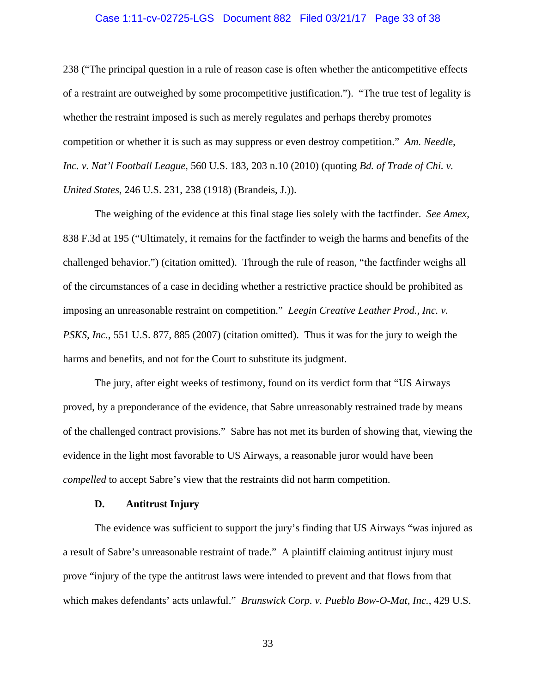### Case 1:11-cv-02725-LGS Document 882 Filed 03/21/17 Page 33 of 38

238 ("The principal question in a rule of reason case is often whether the anticompetitive effects of a restraint are outweighed by some procompetitive justification."). "The true test of legality is whether the restraint imposed is such as merely regulates and perhaps thereby promotes competition or whether it is such as may suppress or even destroy competition." *Am. Needle, Inc. v. Nat'l Football League*, 560 U.S. 183, 203 n.10 (2010) (quoting *Bd. of Trade of Chi. v. United States*, 246 U.S. 231, 238 (1918) (Brandeis, J.)).

The weighing of the evidence at this final stage lies solely with the factfinder. *See Amex*, 838 F.3d at 195 ("Ultimately, it remains for the factfinder to weigh the harms and benefits of the challenged behavior.") (citation omitted). Through the rule of reason, "the factfinder weighs all of the circumstances of a case in deciding whether a restrictive practice should be prohibited as imposing an unreasonable restraint on competition." *Leegin Creative Leather Prod., Inc. v. PSKS, Inc.*, 551 U.S. 877, 885 (2007) (citation omitted). Thus it was for the jury to weigh the harms and benefits, and not for the Court to substitute its judgment.

The jury, after eight weeks of testimony, found on its verdict form that "US Airways proved, by a preponderance of the evidence, that Sabre unreasonably restrained trade by means of the challenged contract provisions." Sabre has not met its burden of showing that, viewing the evidence in the light most favorable to US Airways, a reasonable juror would have been *compelled* to accept Sabre's view that the restraints did not harm competition.

### **D. Antitrust Injury**

The evidence was sufficient to support the jury's finding that US Airways "was injured as a result of Sabre's unreasonable restraint of trade." A plaintiff claiming antitrust injury must prove "injury of the type the antitrust laws were intended to prevent and that flows from that which makes defendants' acts unlawful." *Brunswick Corp. v. Pueblo Bow-O-Mat, Inc.*, 429 U.S.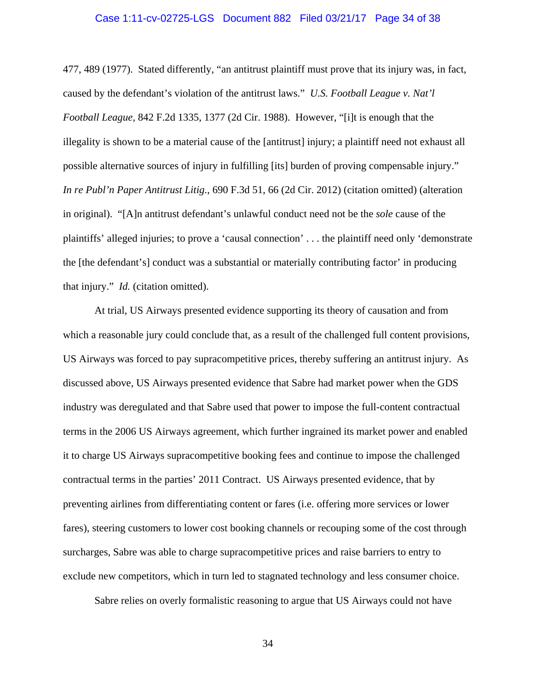### Case 1:11-cv-02725-LGS Document 882 Filed 03/21/17 Page 34 of 38

477, 489 (1977). Stated differently, "an antitrust plaintiff must prove that its injury was, in fact, caused by the defendant's violation of the antitrust laws." *U.S. Football League v. Nat'l Football League*, 842 F.2d 1335, 1377 (2d Cir. 1988). However, "[i]t is enough that the illegality is shown to be a material cause of the [antitrust] injury; a plaintiff need not exhaust all possible alternative sources of injury in fulfilling [its] burden of proving compensable injury." *In re Publ'n Paper Antitrust Litig.*, 690 F.3d 51, 66 (2d Cir. 2012) (citation omitted) (alteration in original). "[A]n antitrust defendant's unlawful conduct need not be the *sole* cause of the plaintiffs' alleged injuries; to prove a 'causal connection' . . . the plaintiff need only 'demonstrate the [the defendant's] conduct was a substantial or materially contributing factor' in producing that injury." *Id.* (citation omitted).

At trial, US Airways presented evidence supporting its theory of causation and from which a reasonable jury could conclude that, as a result of the challenged full content provisions, US Airways was forced to pay supracompetitive prices, thereby suffering an antitrust injury. As discussed above, US Airways presented evidence that Sabre had market power when the GDS industry was deregulated and that Sabre used that power to impose the full-content contractual terms in the 2006 US Airways agreement, which further ingrained its market power and enabled it to charge US Airways supracompetitive booking fees and continue to impose the challenged contractual terms in the parties' 2011 Contract. US Airways presented evidence, that by preventing airlines from differentiating content or fares (i.e. offering more services or lower fares), steering customers to lower cost booking channels or recouping some of the cost through surcharges, Sabre was able to charge supracompetitive prices and raise barriers to entry to exclude new competitors, which in turn led to stagnated technology and less consumer choice.

Sabre relies on overly formalistic reasoning to argue that US Airways could not have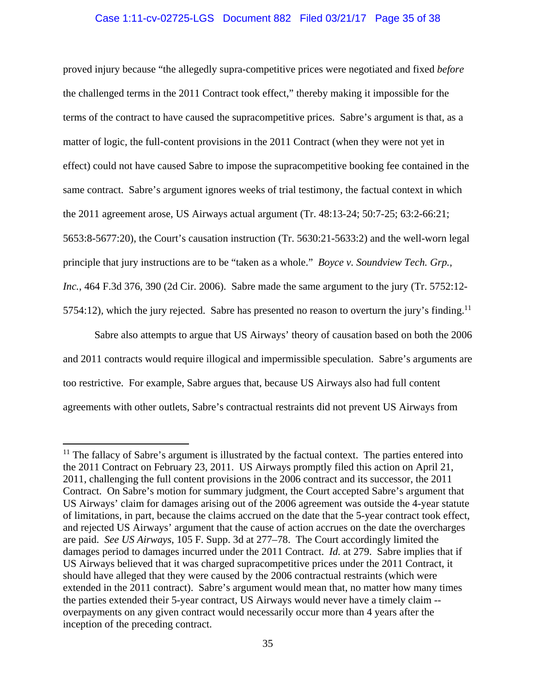# Case 1:11-cv-02725-LGS Document 882 Filed 03/21/17 Page 35 of 38

proved injury because "the allegedly supra-competitive prices were negotiated and fixed *before*  the challenged terms in the 2011 Contract took effect," thereby making it impossible for the terms of the contract to have caused the supracompetitive prices. Sabre's argument is that, as a matter of logic, the full-content provisions in the 2011 Contract (when they were not yet in effect) could not have caused Sabre to impose the supracompetitive booking fee contained in the same contract. Sabre's argument ignores weeks of trial testimony, the factual context in which the 2011 agreement arose, US Airways actual argument (Tr. 48:13-24; 50:7-25; 63:2-66:21; 5653:8-5677:20), the Court's causation instruction (Tr. 5630:21-5633:2) and the well-worn legal principle that jury instructions are to be "taken as a whole." *Boyce v. Soundview Tech. Grp., Inc.*, 464 F.3d 376, 390 (2d Cir. 2006). Sabre made the same argument to the jury (Tr. 5752:12- 5754:12), which the jury rejected. Sabre has presented no reason to overturn the jury's finding.<sup>11</sup>

Sabre also attempts to argue that US Airways' theory of causation based on both the 2006 and 2011 contracts would require illogical and impermissible speculation. Sabre's arguments are too restrictive. For example, Sabre argues that, because US Airways also had full content agreements with other outlets, Sabre's contractual restraints did not prevent US Airways from

<sup>&</sup>lt;sup>11</sup> The fallacy of Sabre's argument is illustrated by the factual context. The parties entered into the 2011 Contract on February 23, 2011. US Airways promptly filed this action on April 21, 2011, challenging the full content provisions in the 2006 contract and its successor, the 2011 Contract. On Sabre's motion for summary judgment, the Court accepted Sabre's argument that US Airways' claim for damages arising out of the 2006 agreement was outside the 4-year statute of limitations, in part, because the claims accrued on the date that the 5-year contract took effect, and rejected US Airways' argument that the cause of action accrues on the date the overcharges are paid. *See US Airways*, 105 F. Supp. 3d at 277–78. The Court accordingly limited the damages period to damages incurred under the 2011 Contract. *Id.* at 279. Sabre implies that if US Airways believed that it was charged supracompetitive prices under the 2011 Contract, it should have alleged that they were caused by the 2006 contractual restraints (which were extended in the 2011 contract). Sabre's argument would mean that, no matter how many times the parties extended their 5-year contract, US Airways would never have a timely claim - overpayments on any given contract would necessarily occur more than 4 years after the inception of the preceding contract.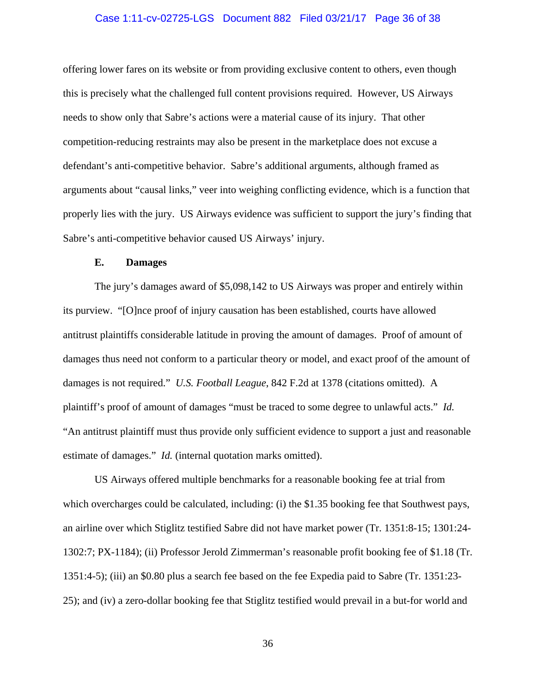### Case 1:11-cv-02725-LGS Document 882 Filed 03/21/17 Page 36 of 38

offering lower fares on its website or from providing exclusive content to others, even though this is precisely what the challenged full content provisions required. However, US Airways needs to show only that Sabre's actions were a material cause of its injury. That other competition-reducing restraints may also be present in the marketplace does not excuse a defendant's anti-competitive behavior. Sabre's additional arguments, although framed as arguments about "causal links," veer into weighing conflicting evidence, which is a function that properly lies with the jury. US Airways evidence was sufficient to support the jury's finding that Sabre's anti-competitive behavior caused US Airways' injury.

#### **E. Damages**

The jury's damages award of \$5,098,142 to US Airways was proper and entirely within its purview. "[O]nce proof of injury causation has been established, courts have allowed antitrust plaintiffs considerable latitude in proving the amount of damages. Proof of amount of damages thus need not conform to a particular theory or model, and exact proof of the amount of damages is not required." *U.S. Football League*, 842 F.2d at 1378 (citations omitted). A plaintiff's proof of amount of damages "must be traced to some degree to unlawful acts." *Id.* "An antitrust plaintiff must thus provide only sufficient evidence to support a just and reasonable estimate of damages." *Id.* (internal quotation marks omitted).

US Airways offered multiple benchmarks for a reasonable booking fee at trial from which overcharges could be calculated, including: (i) the \$1.35 booking fee that Southwest pays, an airline over which Stiglitz testified Sabre did not have market power (Tr. 1351:8-15; 1301:24- 1302:7; PX-1184); (ii) Professor Jerold Zimmerman's reasonable profit booking fee of \$1.18 (Tr. 1351:4-5); (iii) an \$0.80 plus a search fee based on the fee Expedia paid to Sabre (Tr. 1351:23- 25); and (iv) a zero-dollar booking fee that Stiglitz testified would prevail in a but-for world and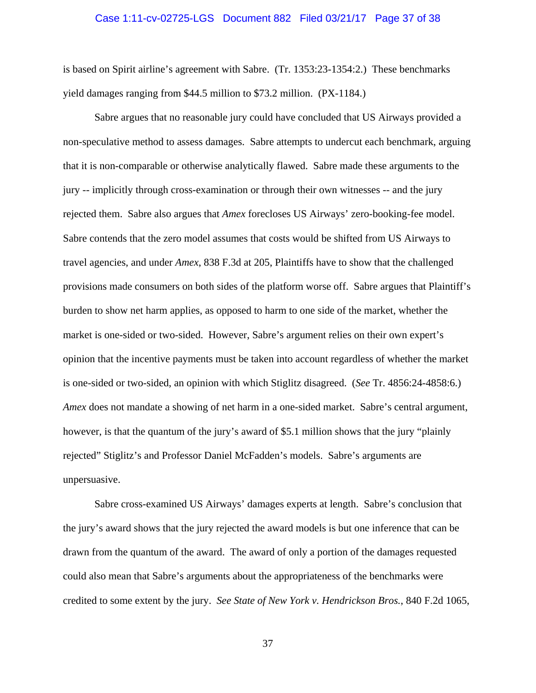### Case 1:11-cv-02725-LGS Document 882 Filed 03/21/17 Page 37 of 38

is based on Spirit airline's agreement with Sabre. (Tr. 1353:23-1354:2.) These benchmarks yield damages ranging from \$44.5 million to \$73.2 million. (PX-1184.)

Sabre argues that no reasonable jury could have concluded that US Airways provided a non-speculative method to assess damages. Sabre attempts to undercut each benchmark, arguing that it is non-comparable or otherwise analytically flawed. Sabre made these arguments to the jury -- implicitly through cross-examination or through their own witnesses -- and the jury rejected them. Sabre also argues that *Amex* forecloses US Airways' zero-booking-fee model. Sabre contends that the zero model assumes that costs would be shifted from US Airways to travel agencies, and under *Amex*, 838 F.3d at 205, Plaintiffs have to show that the challenged provisions made consumers on both sides of the platform worse off. Sabre argues that Plaintiff's burden to show net harm applies, as opposed to harm to one side of the market, whether the market is one-sided or two-sided. However, Sabre's argument relies on their own expert's opinion that the incentive payments must be taken into account regardless of whether the market is one-sided or two-sided, an opinion with which Stiglitz disagreed. (*See* Tr. 4856:24-4858:6.) *Amex* does not mandate a showing of net harm in a one-sided market. Sabre's central argument, however, is that the quantum of the jury's award of \$5.1 million shows that the jury "plainly rejected" Stiglitz's and Professor Daniel McFadden's models. Sabre's arguments are unpersuasive.

Sabre cross-examined US Airways' damages experts at length. Sabre's conclusion that the jury's award shows that the jury rejected the award models is but one inference that can be drawn from the quantum of the award. The award of only a portion of the damages requested could also mean that Sabre's arguments about the appropriateness of the benchmarks were credited to some extent by the jury. *See State of New York v. Hendrickson Bros.*, 840 F.2d 1065,